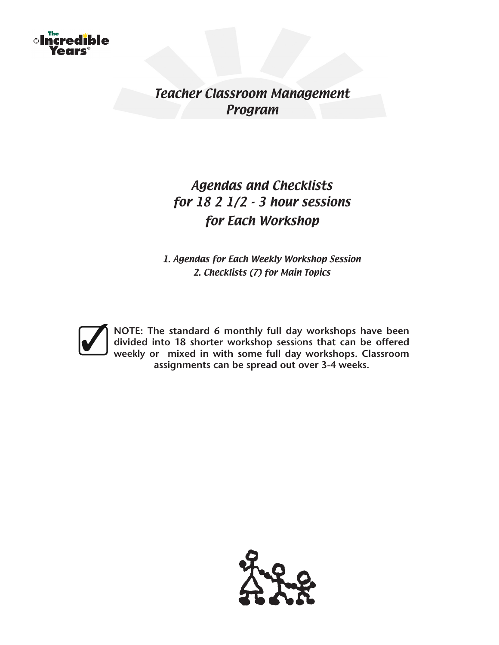

Teacher Classroom Management Program

# Agendas and Checklists for 18 2 1/2 - 3 hour sessions for Each Workshop

1. Agendas for Each Weekly Workshop Session 2. Checklists (7) for Main Topics



**NOTE: The standard 6 monthly full day workshops have been divided into 18 shorter workshop sess**io**ns that can be offered weekly or mixed in with some full day workshops. Classroom assignments can be spread out over 3-4 weeks.**

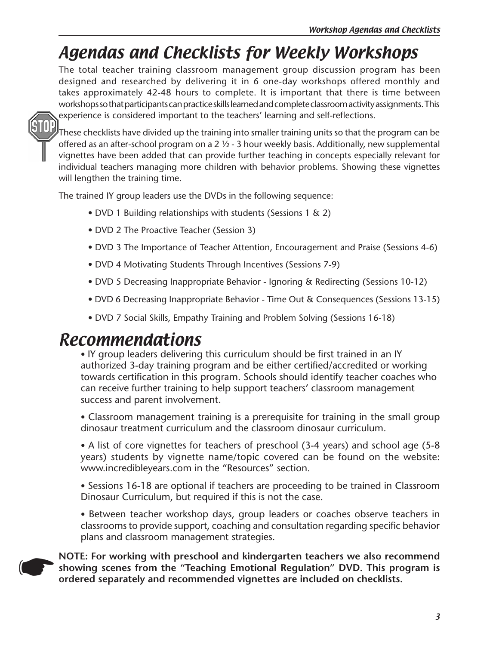# Agendas and Checklists for Weekly Workshops

The total teacher training classroom management group discussion program has been designed and researched by delivering it in 6 one-day workshops offered monthly and takes approximately 42-48 hours to complete. It is important that there is time between workshops so that participants can practice skills learned and complete classroom activity assignments. This experience is considered important to the teachers' learning and self-reflections.



These checklists have divided up the training into smaller training units so that the program can be offered as an after-school program on a 2 ½ - 3 hour weekly basis. Additionally, new supplemental vignettes have been added that can provide further teaching in concepts especially relevant for individual teachers managing more children with behavior problems. Showing these vignettes will lengthen the training time.

The trained IY group leaders use the DVDs in the following sequence:

- DVD 1 Building relationships with students (Sessions 1 & 2)
- DVD 2 The Proactive Teacher (Session 3)
- DVD 3 The Importance of Teacher Attention, Encouragement and Praise (Sessions 4-6)
- DVD 4 Motivating Students Through Incentives (Sessions 7-9)
- DVD 5 Decreasing Inappropriate Behavior Ignoring & Redirecting (Sessions 10-12)
- DVD 6 Decreasing Inappropriate Behavior Time Out & Consequences (Sessions 13-15)
- DVD 7 Social Skills, Empathy Training and Problem Solving (Sessions 16-18)

# Recommendations

• IY group leaders delivering this curriculum should be first trained in an IY authorized 3-day training program and be either certified/accredited or working towards certification in this program. Schools should identify teacher coaches who can receive further training to help support teachers' classroom management success and parent involvement.

• Classroom management training is a prerequisite for training in the small group dinosaur treatment curriculum and the classroom dinosaur curriculum.

• A list of core vignettes for teachers of preschool (3-4 years) and school age (5-8 years) students by vignette name/topic covered can be found on the website: www.incredibleyears.com in the "Resources" section.

• Sessions 16-18 are optional if teachers are proceeding to be trained in Classroom Dinosaur Curriculum, but required if this is not the case.

• Between teacher workshop days, group leaders or coaches observe teachers in classrooms to provide support, coaching and consultation regarding specific behavior plans and classroom management strategies.



**NOTE:** For working with preschool and kindergarten teachers we also recommend showing scenes from the "Teaching Emotional Regulation" DVD. This program is ordered separately and recommended vignettes are included on check **showing scenes from the "Teaching Emotional Regulation" DVD. This program is ordered separately and recommended vignettes are included on checklists.**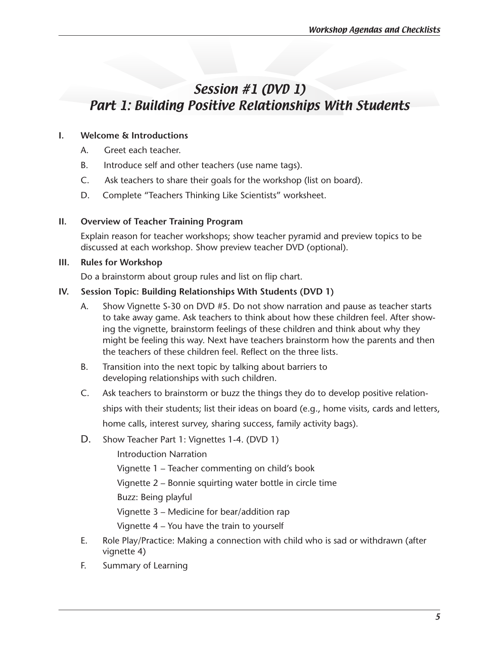# Session #1 (DVD 1) Part 1: Building Positive Relationships With Students

### **I. Welcome & Introductions**

- A. Greet each teacher.
- B. Introduce self and other teachers (use name tags).
- C. Ask teachers to share their goals for the workshop (list on board).
- D. Complete "Teachers Thinking Like Scientists" worksheet.

### **II. Overview of Teacher Training Program**

Explain reason for teacher workshops; show teacher pyramid and preview topics to be discussed at each workshop. Show preview teacher DVD (optional).

### **III. Rules for Workshop**

Do a brainstorm about group rules and list on flip chart.

### **IV. Session Topic: Building Relationships With Students (DVD 1)**

- A. Show Vignette S-30 on DVD #5. Do not show narration and pause as teacher starts to take away game. Ask teachers to think about how these children feel. After showing the vignette, brainstorm feelings of these children and think about why they might be feeling this way. Next have teachers brainstorm how the parents and then the teachers of these children feel. Reflect on the three lists.
- B. Transition into the next topic by talking about barriers to developing relationships with such children.
- C. Ask teachers to brainstorm or buzz the things they do to develop positive relation- ships with their students; list their ideas on board (e.g., home visits, cards and letters, home calls, interest survey, sharing success, family activity bags).
- D. Show Teacher Part 1: Vignettes 1-4. (DVD 1)

Introduction Narration

 Vignette 1 – Teacher commenting on child's book

 Vignette 2 – Bonnie squirting water bottle in circle time

 Buzz: Being playful

 Vignette 3 – Medicine for bear/addition rap

 Vignette 4 – You have the train to yourself

- E. Role Play/Practice: Making a connection with child who is sad or withdrawn (after vignette 4)
- F. Summary of Learning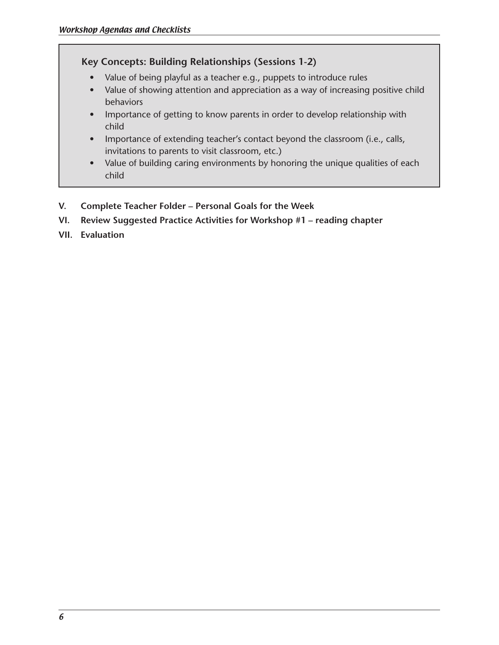# **Key Concepts: Building Relationships (Sessions 1-2)**

- Value of being playful as a teacher e.g., puppets to introduce rules
- Value of showing attention and appreciation as a way of increasing positive child behaviors
- Importance of getting to know parents in order to develop relationship with child
- Importance of extending teacher's contact beyond the classroom (i.e., calls, invitations to parents to visit classroom, etc.)
- Value of building caring environments by honoring the unique qualities of each child
- **V. Complete Teacher Folder Personal Goals for the Week**
- **VI. Review Suggested Practice Activities for Workshop #1 reading chapter**
- **VII. Evaluation**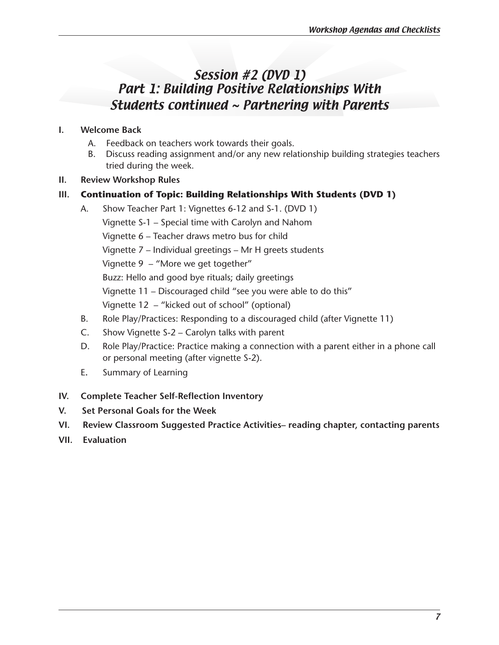# Session #2 (DVD 1) Part 1: Building Positive Relationships With Students continued ~ Partnering with Parents

# **I. Welcome Back**

- A. Feedback on teachers work towards their goals.
- B. Discuss reading assignment and/or any new relationship building strategies teachers tried during the week.

### **II. Review Workshop Rules**

# **III. Continuation of Topic: Building Relationships With Students (DVD 1)**

- A. Show Teacher Part 1: Vignettes 6-12 and S-1. (DVD 1) Vignette S-1 – Special time with Carolyn and Nahom Vignette 6 – Teacher draws metro bus for child Vignette 7 – Individual greetings – Mr H greets students Vignette 9 – "More we get together" Buzz: Hello and good bye rituals; daily greetings Vignette 11 – Discouraged child "see you were able to do this" Vignette 12 – "kicked out of school" (optional)
- B. Role Play/Practices: Responding to a discouraged child (after Vignette 11)
- C. Show Vignette S-2 Carolyn talks with parent
- D. Role Play/Practice: Practice making a connection with a parent either in a phone call or personal meeting (after vignette S-2).
- E. Summary of Learning

# **IV. Complete Teacher Self-Reflection Inventory**

- **V. Set Personal Goals for the Week**
- **VI. Review Classroom Suggested Practice Activities– reading chapter, contacting parents**
- **VII. Evaluation**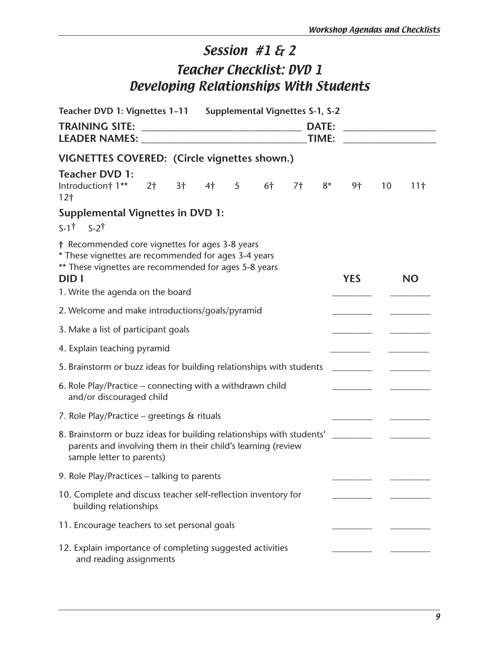# Session #1 & 2 Teacher Checklist: DVD 1 Developing Relationships With Students

| Teacher DVD 1: Vignettes 1-11 Supplemental Vignettes S-1, S-2                                                                                                                                                                                                |  |  |                       |                |    |    |      |            |    |                 |
|--------------------------------------------------------------------------------------------------------------------------------------------------------------------------------------------------------------------------------------------------------------|--|--|-----------------------|----------------|----|----|------|------------|----|-----------------|
| <b>TRAINING SITE:</b><br><b>LEADER NAMES:</b> The contract of the contract of the contract of the contract of the contract of the contract of the contract of the contract of the contract of the contract of the contract of the contract of the contract o |  |  | <b>DATE:</b><br>TIME: |                |    |    |      |            |    |                 |
| VIGNETTES COVERED: (Circle vignettes shown.)                                                                                                                                                                                                                 |  |  |                       |                |    |    |      |            |    |                 |
| <b>Teacher DVD 1:</b><br>Introduction† $1**$ 2† 3† 4†<br>12 <sub>1</sub>                                                                                                                                                                                     |  |  |                       | 5 <sup>7</sup> | 6† | 7† | $8*$ | 9†         | 10 | 11 <sup>†</sup> |
| <b>Supplemental Vignettes in DVD 1:</b>                                                                                                                                                                                                                      |  |  |                       |                |    |    |      |            |    |                 |
| $S-1^{\dagger}$ $S-2^{\dagger}$                                                                                                                                                                                                                              |  |  |                       |                |    |    |      |            |    |                 |
| † Recommended core vignettes for ages 3-8 years<br>* These vignettes are recommended for ages 3-4 years<br>** These vignettes are recommended for ages 5-8 years<br><b>DIDI</b>                                                                              |  |  |                       |                |    |    |      | <b>YES</b> |    | <b>NO</b>       |
| 1. Write the agenda on the board                                                                                                                                                                                                                             |  |  |                       |                |    |    |      |            |    |                 |
| 2. Welcome and make introductions/goals/pyramid                                                                                                                                                                                                              |  |  |                       |                |    |    |      |            |    |                 |
| 3. Make a list of participant goals                                                                                                                                                                                                                          |  |  |                       |                |    |    |      |            |    |                 |
| 4. Explain teaching pyramid                                                                                                                                                                                                                                  |  |  |                       |                |    |    |      |            |    |                 |
| 5. Brainstorm or buzz ideas for building relationships with students                                                                                                                                                                                         |  |  |                       |                |    |    |      |            |    |                 |
| 6. Role Play/Practice – connecting with a withdrawn child<br>and/or discouraged child                                                                                                                                                                        |  |  |                       |                |    |    |      |            |    |                 |
| 7. Role Play/Practice – greetings & rituals                                                                                                                                                                                                                  |  |  |                       |                |    |    |      |            |    |                 |
| 8. Brainstorm or buzz ideas for building relationships with students' _________<br>parents and involving them in their child's learning (review<br>sample letter to parents)                                                                                 |  |  |                       |                |    |    |      |            |    |                 |
| 9. Role Play/Practices - talking to parents                                                                                                                                                                                                                  |  |  |                       |                |    |    |      |            |    |                 |
| 10. Complete and discuss teacher self-reflection inventory for<br>building relationships                                                                                                                                                                     |  |  |                       |                |    |    |      |            |    |                 |
| 11. Encourage teachers to set personal goals                                                                                                                                                                                                                 |  |  |                       |                |    |    |      |            |    |                 |
| 12. Explain importance of completing suggested activities<br>and reading assignments                                                                                                                                                                         |  |  |                       |                |    |    |      |            |    |                 |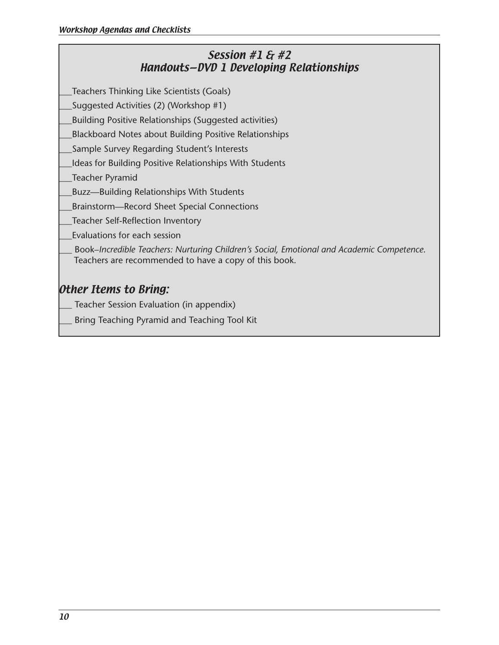# Session #1 & #2 Handouts—DVD 1 Developing Relationships

\_\_\_Teachers Thinking Like Scientists (Goals)

\_\_\_Suggested Activities (2) (Workshop #1)

\_\_\_Building Positive Relationships (Suggested activities)

\_\_\_Blackboard Notes about Building Positive Relationships

\_\_\_Sample Survey Regarding Student's Interests

\_\_\_Ideas for Building Positive Relationships With Students

\_\_\_Teacher Pyramid

\_\_\_Buzz—Building Relationships With Students

\_\_\_Brainstorm—Record Sheet Special Connections

\_\_\_Teacher Self-Reflection Inventory

\_\_\_Evaluations for each session

\_\_\_ Book–*Incredible Teachers: Nurturing Children's Social, Emotional and Academic Competence*. Teachers are recommended to have a copy of this book.

# Other Items to Bring:

Teacher Session Evaluation (in appendix)

Bring Teaching Pyramid and Teaching Tool Kit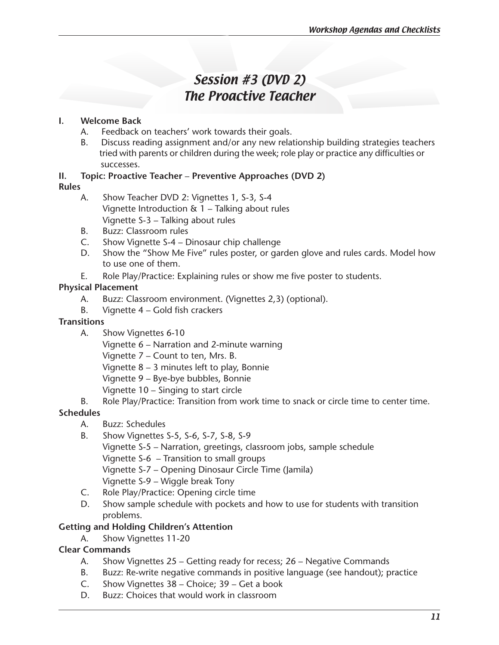# Session #3 (DVD 2) The Proactive Teacher

# **I. Welcome Back**

- A. Feedback on teachers' work towards their goals.
- B. Discuss reading assignment and/or any new relationship building strategies teachers tried with parents or children during the week; role play or practice any difficulties or successes.

# **II. Topic: Proactive Teacher** – **Preventive Approaches (DVD 2)**

# **Rules**

- A. Show Teacher DVD 2: Vignettes 1, S-3, S-4 Vignette Introduction & 1 – Talking about rules Vignette S-3 – Talking about rules
- B. Buzz: Classroom rules
- C. Show Vignette S-4 Dinosaur chip challenge
- D. Show the "Show Me Five" rules poster, or garden glove and rules cards. Model how to use one of them.
- E. Role Play/Practice: Explaining rules or show me five poster to students.

# **Physical Placement**

- A. Buzz: Classroom environment. (Vignettes 2,3) (optional).
- B. Vignette  $4 -$  Gold fish crackers

# **Transitions**

A. Show Vignettes 6-10

 Vignette 6 – Narration and 2-minute warning

 Vignette 7 – Count to ten, Mrs. B.

 Vignette 8 – 3 minutes left to play, Bonnie

 Vignette 9 – Bye-bye bubbles, Bonnie

- Vignette 10 Singing to start circle
- B. Role Play/Practice: Transition from work time to snack or circle time to center time.

# **Schedules**

- A. Buzz: Schedules
- B. Show Vignettes S-5, S-6, S-7, S-8, S-9

 Vignette S-5 – Narration, greetings, classroom jobs, sample schedule

 Vignette S-6 – Transition to small groups

 Vignette S-7 – Opening Dinosaur Circle Time (Jamila)

- Vignette S-9 Wiggle break Tony
- C. Role Play/Practice: Opening circle time
- D. Show sample schedule with pockets and how to use for students with transition problems.

# **Getting and Holding Children's Attention**

A. Show Vignettes 11-20

# **Clear Commands**

- A. Show Vignettes 25 Getting ready for recess; 26 Negative Commands
- B. Buzz: Re-write negative commands in positive language (see handout); practice
- C. Show Vignettes 38 Choice; 39 Get a book
- D. Buzz: Choices that would work in classroom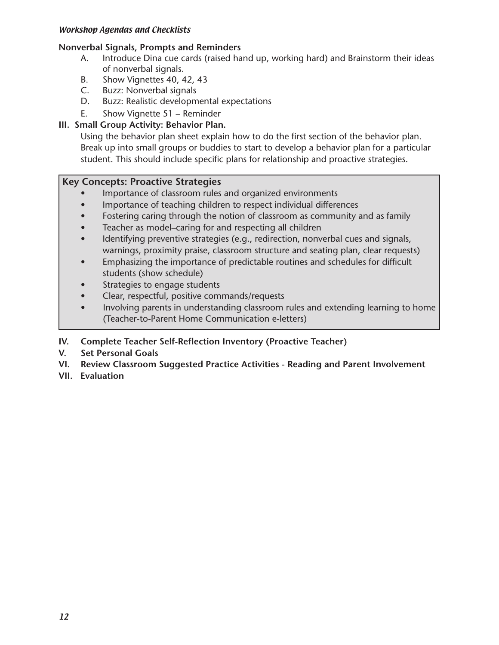### **Nonverbal Signals, Prompts and Reminders**

- A. Introduce Dina cue cards (raised hand up, working hard) and Brainstorm their ideas of nonverbal signals.
- B. Show Vignettes 40, 42, 43
- C. Buzz: Nonverbal signals
- D. Buzz: Realistic developmental expectations
- E. Show Vignette 51 Reminder

# **III. Small Group Activity: Behavior Plan.**

Using the behavior plan sheet explain how to do the first section of the behavior plan. Break up into small groups or buddies to start to develop a behavior plan for a particular student. This should include specific plans for relationship and proactive strategies.

### **Key Concepts: Proactive Strategies**

- Importance of classroom rules and organized environments
- Importance of teaching children to respect individual differences
- Fostering caring through the notion of classroom as community and as family
- Teacher as model–caring for and respecting all children
- Identifying preventive strategies (e.g., redirection, nonverbal cues and signals, warnings, proximity praise, classroom structure and seating plan, clear requests)
- Emphasizing the importance of predictable routines and schedules for difficult students (show schedule)
- Strategies to engage students
- Clear, respectful, positive commands/requests
- Involving parents in understanding classroom rules and extending learning to home (Teacher-to-Parent Home Communication e-letters)

# **IV. Complete Teacher Self-Reflection Inventory (Proactive Teacher)**

- **V. Set Personal Goals**
- **VI. Review Classroom Suggested Practice Activities Reading and Parent Involvement**
- **VII. Evaluation**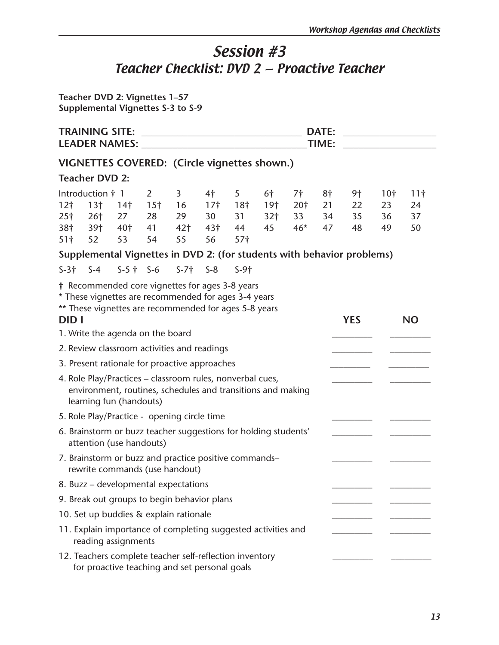# Session #3 Teacher Checklist: DVD 2 — Proactive Teacher

**Teacher DVD 2: Vignettes 1–57 Supplemental Vignettes S-3 to S-9**

|                 | <b>TRAINING SITE:</b><br><b>DATE:</b><br><u> Alexandria de la contrada de la contrada de la contrada de la contrada de la contrada de la contrada de la c</u><br>TIME: |                 |                 |                                                                                                                                                                  |                 |                    |                 |       |    |            |                 |                 |
|-----------------|------------------------------------------------------------------------------------------------------------------------------------------------------------------------|-----------------|-----------------|------------------------------------------------------------------------------------------------------------------------------------------------------------------|-----------------|--------------------|-----------------|-------|----|------------|-----------------|-----------------|
|                 |                                                                                                                                                                        |                 |                 | VIGNETTES COVERED: (Circle vignettes shown.)                                                                                                                     |                 |                    |                 |       |    |            |                 |                 |
|                 | <b>Teacher DVD 2:</b>                                                                                                                                                  |                 |                 |                                                                                                                                                                  |                 |                    |                 |       |    |            |                 |                 |
|                 | Introduction † 1                                                                                                                                                       |                 | $\overline{2}$  | 3                                                                                                                                                                | 4 <sup>†</sup>  | 5                  | 6†              | 7†    | 8† | 9†         | 10 <sup>†</sup> | 11 <sup>†</sup> |
| 12 <sub>1</sub> | 13 <sup>†</sup>                                                                                                                                                        | 14 <sup>†</sup> | 15 <sup>†</sup> | 16                                                                                                                                                               |                 | $17†$ 18 $\dagger$ | 19 <sub>1</sub> | 20†   | 21 | 22         | 23              | 24              |
| 25 <sup>†</sup> | 26 <sup>†</sup>                                                                                                                                                        | 27              | 28              | 29                                                                                                                                                               | 30 <sup>2</sup> | 31                 | 32 <sub>1</sub> | 33    | 34 | 35         | 36              | 37              |
| 38†             | 39†                                                                                                                                                                    | 40 <sup>†</sup> | 41              | 42 <sup>†</sup>                                                                                                                                                  | 43 <sup>†</sup> | 44                 | 45              | $46*$ | 47 | 48         | 49              | 50              |
| 51 <sup>†</sup> | 52                                                                                                                                                                     | 53              | 54              | 55                                                                                                                                                               | 56              | 57 <sup>†</sup>    |                 |       |    |            |                 |                 |
|                 |                                                                                                                                                                        |                 |                 | Supplemental Vignettes in DVD 2: (for students with behavior problems)                                                                                           |                 |                    |                 |       |    |            |                 |                 |
| $S-3$ † $S-4$   |                                                                                                                                                                        |                 |                 | $S-5$ † $S-6$ $S-7$ † $S-8$                                                                                                                                      |                 | $S-91$             |                 |       |    |            |                 |                 |
|                 |                                                                                                                                                                        |                 |                 | † Recommended core vignettes for ages 3-8 years<br>* These vignettes are recommended for ages 3-4 years<br>** These vignettes are recommended for ages 5-8 years |                 |                    |                 |       |    |            |                 |                 |
| <b>DID</b> I    |                                                                                                                                                                        |                 |                 |                                                                                                                                                                  |                 |                    |                 |       |    | <b>YES</b> |                 | <b>NO</b>       |
|                 | 1. Write the agenda on the board                                                                                                                                       |                 |                 |                                                                                                                                                                  |                 |                    |                 |       |    |            |                 |                 |
|                 |                                                                                                                                                                        |                 |                 | 2. Review classroom activities and readings                                                                                                                      |                 |                    |                 |       |    |            |                 |                 |
|                 |                                                                                                                                                                        |                 |                 | 3. Present rationale for proactive approaches                                                                                                                    |                 |                    |                 |       |    |            |                 |                 |
|                 | learning fun (handouts)                                                                                                                                                |                 |                 | 4. Role Play/Practices - classroom rules, nonverbal cues,<br>environment, routines, schedules and transitions and making                                         |                 |                    |                 |       |    |            |                 |                 |
|                 |                                                                                                                                                                        |                 |                 | 5. Role Play/Practice - opening circle time                                                                                                                      |                 |                    |                 |       |    |            |                 |                 |
|                 | attention (use handouts)                                                                                                                                               |                 |                 | 6. Brainstorm or buzz teacher suggestions for holding students'                                                                                                  |                 |                    |                 |       |    |            |                 |                 |
|                 |                                                                                                                                                                        |                 |                 | 7. Brainstorm or buzz and practice positive commands-<br>rewrite commands (use handout)                                                                          |                 |                    |                 |       |    |            |                 |                 |
|                 |                                                                                                                                                                        |                 |                 | 8. Buzz – developmental expectations                                                                                                                             |                 |                    |                 |       |    |            |                 |                 |
|                 |                                                                                                                                                                        |                 |                 | 9. Break out groups to begin behavior plans                                                                                                                      |                 |                    |                 |       |    |            |                 |                 |
|                 |                                                                                                                                                                        |                 |                 | 10. Set up buddies & explain rationale                                                                                                                           |                 |                    |                 |       |    |            |                 |                 |
|                 | reading assignments                                                                                                                                                    |                 |                 | 11. Explain importance of completing suggested activities and                                                                                                    |                 |                    |                 |       |    |            |                 |                 |
|                 |                                                                                                                                                                        |                 |                 | 12. Teachers complete teacher self-reflection inventory<br>for proactive teaching and set personal goals                                                         |                 |                    |                 |       |    |            |                 |                 |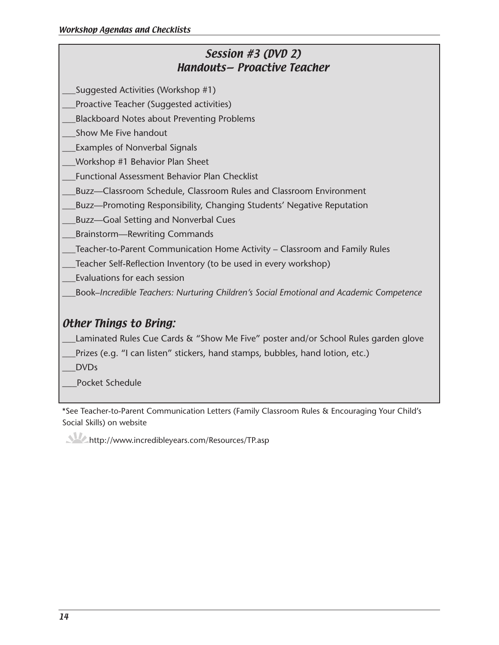# Session #3 (DVD 2) Handouts— Proactive Teacher

\_\_\_Suggested Activities (Workshop #1)

\_\_\_Proactive Teacher (Suggested activities)

\_\_\_Blackboard Notes about Preventing Problems

\_\_\_Show Me Five handout

\_\_\_Examples of Nonverbal Signals

\_\_\_Workshop #1 Behavior Plan Sheet

\_\_\_Functional Assessment Behavior Plan Checklist

\_\_\_Buzz—Classroom Schedule, Classroom Rules and Classroom Environment

\_\_\_Buzz—Promoting Responsibility, Changing Students' Negative Reputation

\_Buzz—Goal Setting and Nonverbal Cues

\_\_\_Brainstorm—Rewriting Commands

\_\_\_Teacher-to-Parent Communication Home Activity – Classroom and Family Rules

\_\_\_Teacher Self-Reflection Inventory (to be used in every workshop)

\_\_\_Evaluations for each session

\_\_\_Book–*Incredible Teachers: Nurturing Children's Social Emotional and Academic Competence*

# Other Things to Bring:

Laminated Rules Cue Cards & "Show Me Five" poster and/or School Rules garden glove

\_\_\_Prizes (e.g. "I can listen" stickers, hand stamps, bubbles, hand lotion, etc.)

\_\_\_DVDs

\_\_\_Pocket Schedule

\*See Teacher-to-Parent Communication Letters (Family Classroom Rules & Encouraging Your Child's Social Skills) on website

http://www.incredibleyears.com/Resources/TP.asp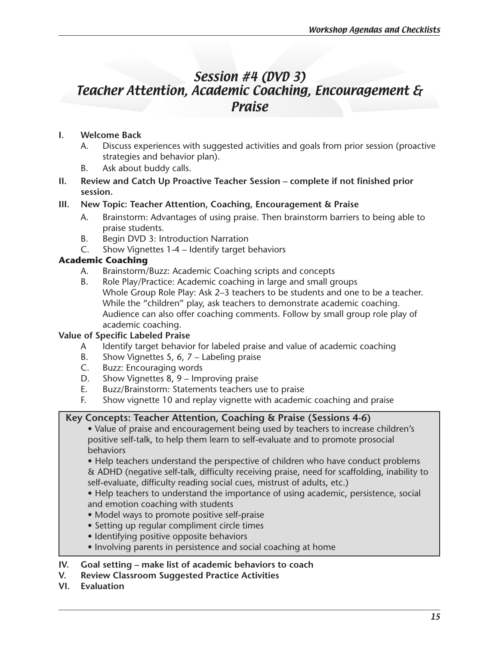# Session #4 (DVD 3) Teacher Attention, Academic Coaching, Encouragement & Praise

# **I. Welcome Back**

- A. Discuss experiences with suggested activities and goals from prior session (proactive strategies and behavior plan).
- B. Ask about buddy calls.
- **II. Review and Catch Up Proactive Teacher Session complete if not finished prior session.**

# **III. New Topic: Teacher Attention, Coaching, Encouragement & Praise**

- A. Brainstorm: Advantages of using praise. Then brainstorm barriers to being able to praise students.
- B. Begin DVD 3: Introduction Narration
- C. Show Vignettes 1-4 Identify target behaviors

# **Academic Coaching**

- A. Brainstorm/Buzz: Academic Coaching scripts and concepts
- B. Role Play/Practice: Academic coaching in large and small groups Whole Group Role Play: Ask 2–3 teachers to be students and one to be a teacher. While the "children" play, ask teachers to demonstrate academic coaching. Audience can also offer coaching comments. Follow by small group role play of academic coaching.

# **Value of Specific Labeled Praise**

- A Identify target behavior for labeled praise and value of academic coaching
- B. Show Vignettes 5, 6, 7 Labeling praise
- C. Buzz: Encouraging words<br>D. Show Vianettes 8, 9 Imp
- Show Vignettes  $8, 9$  Improving praise
- E. Buzz/Brainstorm: Statements teachers use to praise
- F. Show vignette 10 and replay vignette with academic coaching and praise

# **Key Concepts: Teacher Attention, Coaching & Praise (Sessions 4-6)**

• Value of praise and encouragement being used by teachers to increase children's positive self-talk, to help them learn to self-evaluate and to promote prosocial behaviors

• Help teachers understand the perspective of children who have conduct problems & ADHD (negative self-talk, difficulty receiving praise, need for scaffolding, inability to self-evaluate, difficulty reading social cues, mistrust of adults, etc.)

• Help teachers to understand the importance of using academic, persistence, social and emotion coaching with students

- Model ways to promote positive self-praise
- Setting up regular compliment circle times
- Identifying positive opposite behaviors
- Involving parents in persistence and social coaching at home

# **IV. Goal setting – make list of academic behaviors to coach**

**V. Review Classroom Suggested Practice Activities** 

**VI. Evaluation**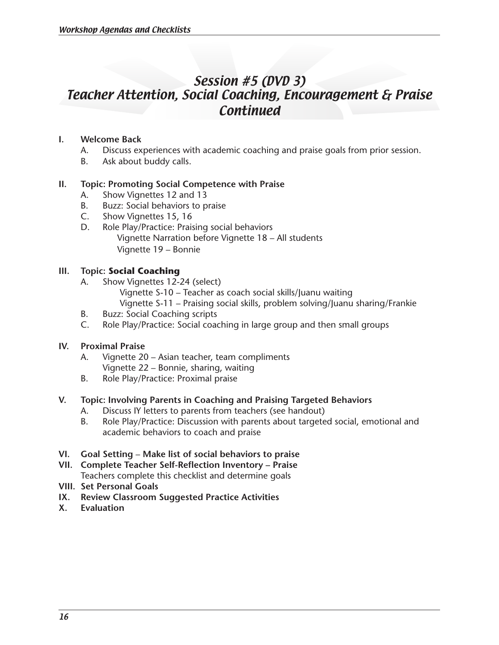# Session #5 (DVD 3) Teacher Attention, Social Coaching, Encouragement & Praise **Continued**

### **I. Welcome Back**

- A. Discuss experiences with academic coaching and praise goals from prior session.
- B. Ask about buddy calls.

### **II. Topic: Promoting Social Competence with Praise**

- A. Show Vignettes 12 and 13
- B. Buzz: Social behaviors to praise
- C. Show Vignettes 15, 16
- D. Role Play/Practice: Praising social behaviors Vignette Narration before Vignette 18 – All students Vignette 19 – Bonnie

### **III. Topic: Social Coaching**

- A. Show Vignettes 12-24 (select)
	- Vignette S-10 Teacher as coach social skills/Juanu waiting
	- Vignette S-11 Praising social skills, problem solving/Juanu sharing/Frankie
- B. Buzz: Social Coaching scripts
- C. Role Play/Practice: Social coaching in large group and then small groups

#### **IV. Proximal Praise**

- A. Vignette 20 Asian teacher, team compliments Vignette 22 – Bonnie, sharing, waiting
- B. Role Play/Practice: Proximal praise

### **V. Topic: Involving Parents in Coaching and Praising Targeted Behaviors**

- A. Discuss IY letters to parents from teachers (see handout)
- B. Role Play/Practice: Discussion with parents about targeted social, emotional and academic behaviors to coach and praise
- **VI. Goal Setting** – **Make list of social behaviors to praise**
- **VII. Complete Teacher Self-Reflection Inventory Praise** Teachers complete this checklist and determine goals
- **VIII. Set Personal Goals**
- **IX. Review Classroom Suggested Practice Activities**
- **X. Evaluation**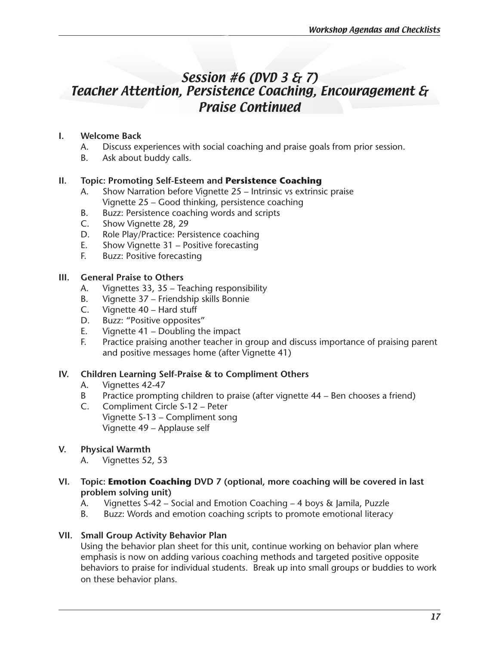# Session #6 (DVD 3 & 7) Teacher Attention, Persistence Coaching, Encouragement & Praise Continued

# **I. Welcome Back**

- A. Discuss experiences with social coaching and praise goals from prior session.
- B. Ask about buddy calls.

### **II. Topic: Promoting Self-Esteem and Persistence Coaching**

- A. Show Narration before Vignette 25 Intrinsic vs extrinsic praise Vignette 25 – Good thinking, persistence coaching
- B. Buzz: Persistence coaching words and scripts
- C. Show Vignette 28, 29
- D. Role Play/Practice: Persistence coaching
- E. Show Vignette 31 Positive forecasting
- F. Buzz: Positive forecasting

### **III. General Praise to Others**

- A. Vignettes 33, 35 Teaching responsibility
- B. Vignette 37 Friendship skills Bonnie
- C. Vignette 40 Hard stuff
- D. Buzz: "Positive opposites"
- E. Vignette  $41$  Doubling the impact
- F. Practice praising another teacher in group and discuss importance of praising parent and positive messages home (after Vignette 41)

### **IV. Children Learning Self-Praise & to Compliment Others**

- A. Vignettes 42-47
- B Practice prompting children to praise (after vignette 44 Ben chooses a friend)
- C. Compliment Circle S-12 Peter Vignette S-13 – Compliment song Vignette 49 – Applause self

### **V. Physical Warmth**

- A. Vignettes 52, 53
- **VI. Topic: Emotion Coaching DVD 7 (optional, more coaching will be covered in last problem solving unit)** 
	- A. Vignettes S-42 Social and Emotion Coaching 4 boys & Jamila, Puzzle
	- B. Buzz: Words and emotion coaching scripts to promote emotional literacy

### **VII. Small Group Activity Behavior Plan**

Using the behavior plan sheet for this unit, continue working on behavior plan where emphasis is now on adding various coaching methods and targeted positive opposite behaviors to praise for individual students. Break up into small groups or buddies to work on these behavior plans.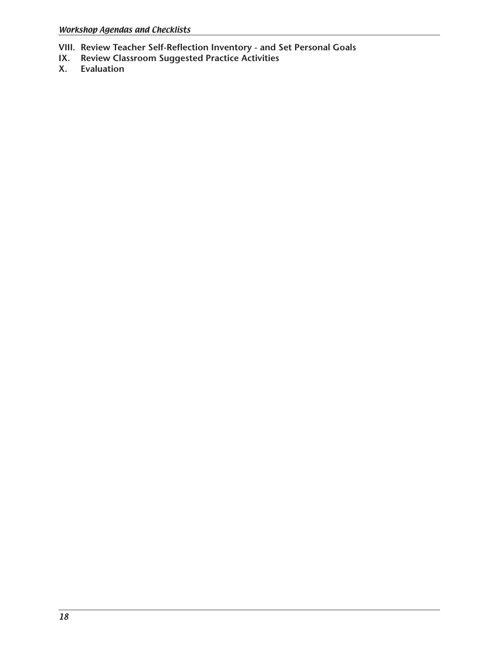- **VIII. Review Teacher Self-Reflection Inventory and Set Personal Goals**
- **IX. Review Classroom Suggested Practice Activities**
- **Evaluation**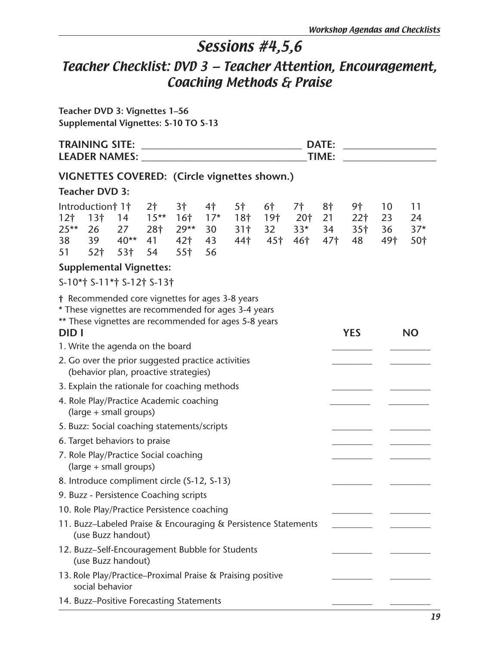# Sessions #4,5,6

# Teacher Checklist: DVD 3 — Teacher Attention, Encouragement, Coaching Methods & Praise

**Teacher DVD 3: Vignettes 1–56 Supplemental Vignettes: S-10 TO S-13** 

|                                       | <b>TRAINING SITE:</b>                                                                       |                           |                                              |                                                                       |                               | <b>LEADER NAMES:</b> The contract of the contract of the contract of the contract of the contract of the contract of the contract of the contract of the contract of the contract of the contract of the contract of the contract o |                                      |                                       | <b>DATE:</b><br>TIME:             |                                                |                       |                                      |
|---------------------------------------|---------------------------------------------------------------------------------------------|---------------------------|----------------------------------------------|-----------------------------------------------------------------------|-------------------------------|-------------------------------------------------------------------------------------------------------------------------------------------------------------------------------------------------------------------------------------|--------------------------------------|---------------------------------------|-----------------------------------|------------------------------------------------|-----------------------|--------------------------------------|
|                                       |                                                                                             |                           |                                              |                                                                       |                               | VIGNETTES COVERED: (Circle vignettes shown.)                                                                                                                                                                                        |                                      |                                       |                                   |                                                |                       |                                      |
|                                       | <b>Teacher DVD 3:</b>                                                                       |                           |                                              |                                                                       |                               |                                                                                                                                                                                                                                     |                                      |                                       |                                   |                                                |                       |                                      |
| 12 <sub>1</sub><br>$25**$<br>38<br>51 | Introduction† 1†<br>13 <sup>†</sup><br>26<br>39<br>52 <sub>†</sub>                          | 14<br>27<br>$40**$<br>53† | 2 <sup>†</sup><br>$15***$<br>28†<br>41<br>54 | 3†<br>16 <sup>†</sup><br>$29**$<br>42 <sub>1</sub><br>55 <sup>†</sup> | 4†<br>$17*$<br>30<br>43<br>56 | 5 <sup>†</sup><br>18 <sub>1</sub><br>31 <sup>†</sup><br>44 <sup>†</sup>                                                                                                                                                             | 6†<br>19 <sub>1</sub><br>32<br>- 45† | 7†<br>20†<br>$33*$<br>46 <sup>†</sup> | 8†<br>21<br>34<br>47 <sup>†</sup> | 9†<br>22 <sup>†</sup><br>35 <sup>†</sup><br>48 | 10<br>23<br>36<br>49† | 11<br>24<br>$37*$<br>50 <sub>1</sub> |
|                                       | <b>Supplemental Vignettes:</b>                                                              |                           |                                              |                                                                       |                               |                                                                                                                                                                                                                                     |                                      |                                       |                                   |                                                |                       |                                      |
|                                       | S-10*† S-11*† S-12† S-13†                                                                   |                           |                                              |                                                                       |                               |                                                                                                                                                                                                                                     |                                      |                                       |                                   |                                                |                       |                                      |
| <b>DID</b> I                          |                                                                                             |                           |                                              |                                                                       |                               | † Recommended core vignettes for ages 3-8 years<br>* These vignettes are recommended for ages 3-4 years<br>** These vignettes are recommended for ages 5-8 years                                                                    |                                      |                                       |                                   | <b>YES</b>                                     |                       | <b>NO</b>                            |
|                                       | 1. Write the agenda on the board                                                            |                           |                                              |                                                                       |                               |                                                                                                                                                                                                                                     |                                      |                                       |                                   |                                                |                       |                                      |
|                                       | 2. Go over the prior suggested practice activities<br>(behavior plan, proactive strategies) |                           |                                              |                                                                       |                               |                                                                                                                                                                                                                                     |                                      |                                       |                                   |                                                |                       |                                      |
|                                       | 3. Explain the rationale for coaching methods                                               |                           |                                              |                                                                       |                               |                                                                                                                                                                                                                                     |                                      |                                       |                                   |                                                |                       |                                      |
|                                       | 4. Role Play/Practice Academic coaching<br>(large + small groups)                           |                           |                                              |                                                                       |                               |                                                                                                                                                                                                                                     |                                      |                                       |                                   |                                                |                       |                                      |
|                                       | 5. Buzz: Social coaching statements/scripts                                                 |                           |                                              |                                                                       |                               |                                                                                                                                                                                                                                     |                                      |                                       |                                   |                                                |                       |                                      |
|                                       | 6. Target behaviors to praise                                                               |                           |                                              |                                                                       |                               |                                                                                                                                                                                                                                     |                                      |                                       |                                   |                                                |                       |                                      |
|                                       | 7. Role Play/Practice Social coaching<br>(large + small groups)                             |                           |                                              |                                                                       |                               |                                                                                                                                                                                                                                     |                                      |                                       |                                   |                                                |                       |                                      |
|                                       | 8. Introduce compliment circle (S-12, S-13)                                                 |                           |                                              |                                                                       |                               |                                                                                                                                                                                                                                     |                                      |                                       |                                   |                                                |                       |                                      |
|                                       | 9. Buzz - Persistence Coaching scripts                                                      |                           |                                              |                                                                       |                               |                                                                                                                                                                                                                                     |                                      |                                       |                                   |                                                |                       |                                      |
|                                       | 10. Role Play/Practice Persistence coaching                                                 |                           |                                              |                                                                       |                               |                                                                                                                                                                                                                                     |                                      |                                       |                                   |                                                |                       |                                      |
|                                       | (use Buzz handout)                                                                          |                           |                                              |                                                                       |                               | 11. Buzz-Labeled Praise & Encouraging & Persistence Statements                                                                                                                                                                      |                                      |                                       |                                   |                                                |                       |                                      |
|                                       | (use Buzz handout)                                                                          |                           |                                              |                                                                       |                               | 12. Buzz-Self-Encouragement Bubble for Students                                                                                                                                                                                     |                                      |                                       |                                   |                                                |                       |                                      |
|                                       | social behavior                                                                             |                           |                                              |                                                                       |                               | 13. Role Play/Practice-Proximal Praise & Praising positive                                                                                                                                                                          |                                      |                                       |                                   |                                                |                       |                                      |
|                                       | 14. Buzz-Positive Forecasting Statements                                                    |                           |                                              |                                                                       |                               |                                                                                                                                                                                                                                     |                                      |                                       |                                   |                                                |                       |                                      |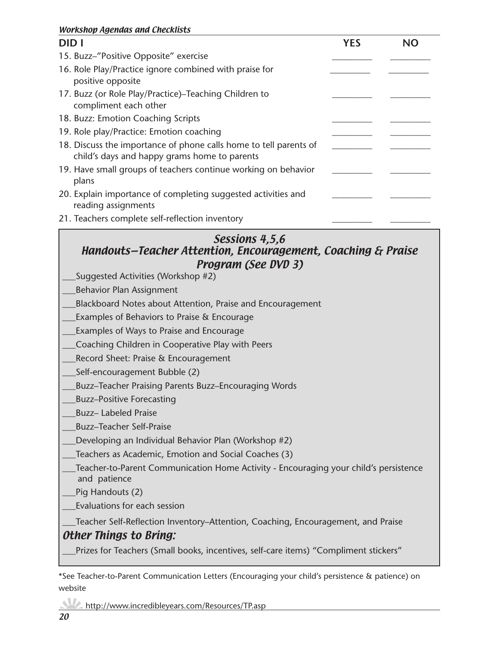### Workshop Agendas and Checklists

| <b>DIDI</b>                                                                                                       | YES |  |
|-------------------------------------------------------------------------------------------------------------------|-----|--|
| 15. Buzz-"Positive Opposite" exercise                                                                             |     |  |
| 16. Role Play/Practice ignore combined with praise for<br>positive opposite                                       |     |  |
| 17. Buzz (or Role Play/Practice)–Teaching Children to<br>compliment each other                                    |     |  |
| 18. Buzz: Emotion Coaching Scripts                                                                                |     |  |
| 19. Role play/Practice: Emotion coaching                                                                          |     |  |
| 18. Discuss the importance of phone calls home to tell parents of<br>child's days and happy grams home to parents |     |  |
| 19. Have small groups of teachers continue working on behavior<br>plans                                           |     |  |
| 20. Explain importance of completing suggested activities and<br>reading assignments                              |     |  |
| 21. Teachers complete self-reflection inventory                                                                   |     |  |

# Sessions 4,5,6

# Handouts—Teacher Attention, Encouragement, Coaching & Praise Program (See DVD 3)

- \_\_\_Suggested Activities (Workshop #2)
- \_\_\_Behavior Plan Assignment
- \_\_\_Blackboard Notes about Attention, Praise and Encouragement
- \_\_\_Examples of Behaviors to Praise & Encourage
- \_\_\_Examples of Ways to Praise and Encourage
- \_\_\_Coaching Children in Cooperative Play with Peers
- \_\_\_Record Sheet: Praise & Encouragement
- \_\_\_Self-encouragement Bubble (2)
- \_\_\_Buzz–Teacher Praising Parents Buzz–Encouraging Words
- \_\_\_Buzz–Positive Forecasting
- \_\_\_Buzz– Labeled Praise
- \_\_\_Buzz–Teacher Self-Praise
- Developing an Individual Behavior Plan (Workshop #2)
- \_\_\_Teachers as Academic, Emotion and Social Coaches (3)
- Teacher-to-Parent Communication Home Activity Encouraging your child's persistence and patience
- Pig Handouts (2)
- \_\_\_Evaluations for each session

\_\_\_Teacher Self-Reflection Inventory–Attention, Coaching, Encouragement, and Praise

### Other Things to Bring:

Prizes for Teachers (Small books, incentives, self-care items) "Compliment stickers"

\*See Teacher-to-Parent Communication Letters (Encouraging your child's persistence & patience) on website

#### http://www.incredibleyears.com/Resources/TP.asp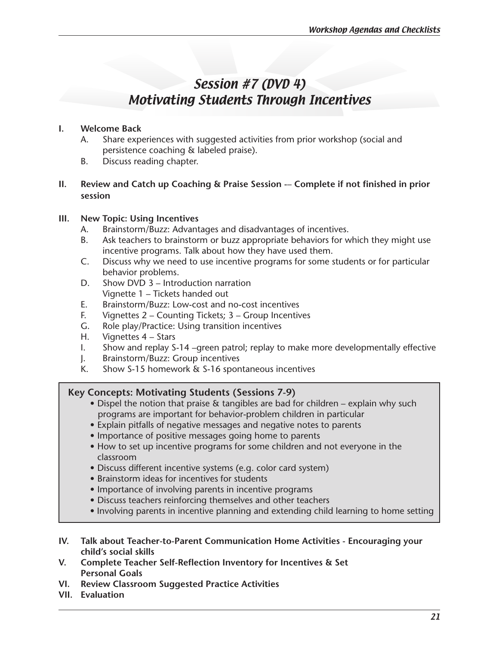# Session #7 (DVD 4) Motivating Students Through Incentives

#### **I. Welcome Back**

- A. Share experiences with suggested activities from prior workshop (social and persistence coaching & labeled praise).
- B. Discuss reading chapter.

### **II.** Review and Catch up Coaching & Praise Session -- Complete if not finished in prior **session**

### **III. New Topic: Using Incentives**

- A. Brainstorm/Buzz: Advantages and disadvantages of incentives.
- B. Ask teachers to brainstorm or buzz appropriate behaviors for which they might use incentive programs. Talk about how they have used them.
- C. Discuss why we need to use incentive programs for some students or for particular behavior problems.
- D. Show DVD 3 Introduction narration Vignette 1 – Tickets handed out
- E. Brainstorm/Buzz: Low-cost and no-cost incentives
- F. Vignettes  $2$  Counting Tickets;  $3$  Group Incentives
- G. Role play/Practice: Using transition incentives
- H. Vignettes  $4 Stars$
- I. Show and replay S-14 –green patrol; replay to make more developmentally effective
- J. Brainstorm/Buzz: Group incentives
- K. Show S-15 homework & S-16 spontaneous incentives

### **Key Concepts: Motivating Students (Sessions 7-9)**

- Dispel the notion that praise  $\&$  tangibles are bad for children explain why such programs are important for behavior-problem children in particular
- Explain pitfalls of negative messages and negative notes to parents
- Importance of positive messages going home to parents
- How to set up incentive programs for some children and not everyone in the classroom
- Discuss different incentive systems (e.g. color card system)
- Brainstorm ideas for incentives for students
- Importance of involving parents in incentive programs
- Discuss teachers reinforcing themselves and other teachers
- Involving parents in incentive planning and extending child learning to home setting
- **IV. Talk about Teacher-to-Parent Communication Home Activities Encouraging your child's social skills**
- **V. Complete Teacher Self-Reflection Inventory for Incentives & Set Personal Goals**
- **VI. Review Classroom Suggested Practice Activities**
- **VII. Evaluation**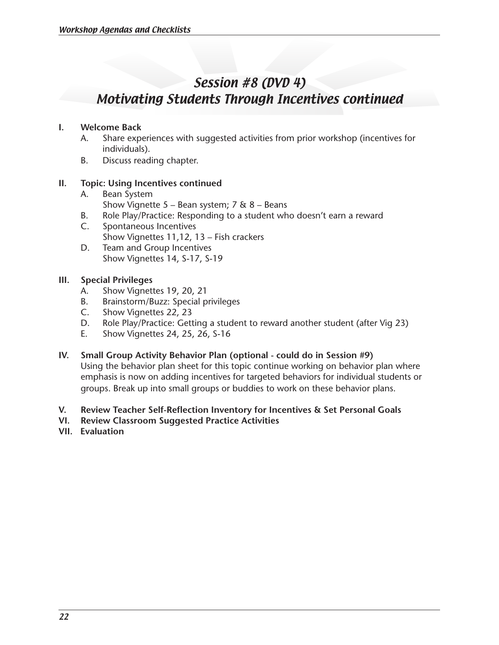# Session #8 (DVD 4) Motivating Students Through Incentives continued

#### **I. Welcome Back**

- A. Share experiences with suggested activities from prior workshop (incentives for individuals).
- B. Discuss reading chapter.

#### **II. Topic: Using Incentives continued**

- A. Bean System Show Vignette  $5 -$  Bean system;  $7 \& 8 -$  Beans
- B. Role Play/Practice: Responding to a student who doesn't earn a reward
- C. Spontaneous Incentives Show Vignettes 11,12, 13 – Fish crackers
- D. Team and Group Incentives Show Vignettes 14, S-17, S-19

### **III. Special Privileges**

- A. Show Vignettes 19, 20, 21
- B. Brainstorm/Buzz: Special privileges
- C. Show Vignettes 22, 23
- D. Role Play/Practice: Getting a student to reward another student (after Vig 23)
- E. Show Vignettes 24, 25, 26, S-16
- **IV. Small Group Activity Behavior Plan (optional could do in Session #9)**

Using the behavior plan sheet for this topic continue working on behavior plan where emphasis is now on adding incentives for targeted behaviors for individual students or groups. Break up into small groups or buddies to work on these behavior plans.

#### **V. Review Teacher Self-Reflection Inventory for Incentives & Set Personal Goals**

- **VI. Review Classroom Suggested Practice Activities**
- **VII. Evaluation**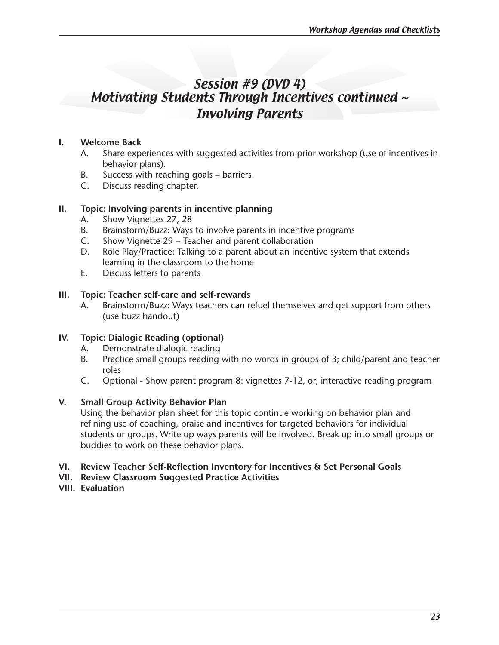# Session #9 (DVD 4) Motivating Students Through Incentives continued ~ Involving Parents

### **I. Welcome Back**

- A. Share experiences with suggested activities from prior workshop (use of incentives in behavior plans).
- B. Success with reaching goals barriers.
- C. Discuss reading chapter.

### **II. Topic: Involving parents in incentive planning**

- A. Show Vignettes 27, 28
- B. Brainstorm/Buzz: Ways to involve parents in incentive programs
- C. Show Vignette 29 Teacher and parent collaboration
- D. Role Play/Practice: Talking to a parent about an incentive system that extends learning in the classroom to the home
- E. Discuss letters to parents

#### **III. Topic: Teacher self-care and self-rewards**

A. Brainstorm/Buzz: Ways teachers can refuel themselves and get support from others (use buzz handout)

#### **IV. Topic: Dialogic Reading (optional)**

- A. Demonstrate dialogic reading
- B. Practice small groups reading with no words in groups of 3; child/parent and teacher roles
- C. Optional Show parent program 8: vignettes 7-12, or, interactive reading program

#### **V. Small Group Activity Behavior Plan**

Using the behavior plan sheet for this topic continue working on behavior plan and refining use of coaching, praise and incentives for targeted behaviors for individual students or groups. Write up ways parents will be involved. Break up into small groups or buddies to work on these behavior plans.

#### **VI. Review Teacher Self-Reflection Inventory for Incentives & Set Personal Goals**

- **VII. Review Classroom Suggested Practice Activities**
- **VIII. Evaluation**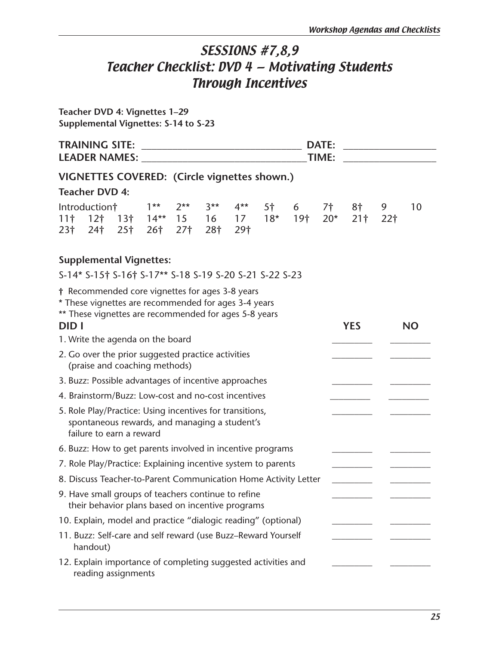# SESSIONS #7,8,9 Teacher Checklist: DVD 4 — Motivating Students Through Incentives

**Teacher DVD 4: Vignettes 1–29 Supplemental Vignettes: S-14 to S-23**

|              | <b>DATE:</b><br>TIME:<br>LEADER NAMES: NAMES:                                                                                                                    |  |                          |                                        |                    |                    |    |                              |             |                       |                      |           |
|--------------|------------------------------------------------------------------------------------------------------------------------------------------------------------------|--|--------------------------|----------------------------------------|--------------------|--------------------|----|------------------------------|-------------|-----------------------|----------------------|-----------|
|              | VIGNETTES COVERED: (Circle vignettes shown.)                                                                                                                     |  |                          |                                        |                    |                    |    |                              |             |                       |                      |           |
|              | <b>Teacher DVD 4:</b>                                                                                                                                            |  |                          |                                        |                    |                    |    |                              |             |                       |                      |           |
| 23†          | Introduction†<br>$11†$ 12 $\dagger$ 13 $\dagger$<br>$24$ † 25†                                                                                                   |  | $1**$<br>26 <sup>†</sup> | $2**$<br>$14***$ 15<br>27 <sup>†</sup> | $3**$<br>16<br>28† | $4**$<br>17<br>29† | 5† | $6\overline{6}$<br>$18*$ 19† | 7†<br>$20*$ | 8†<br>21 <sup>†</sup> | 9<br>22 <sup>†</sup> | 10        |
|              | <b>Supplemental Vignettes:</b>                                                                                                                                   |  |                          |                                        |                    |                    |    |                              |             |                       |                      |           |
|              | S-14* S-15† S-16† S-17** S-18 S-19 S-20 S-21 S-22 S-23                                                                                                           |  |                          |                                        |                    |                    |    |                              |             |                       |                      |           |
| <b>DID</b> I | † Recommended core vignettes for ages 3-8 years<br>* These vignettes are recommended for ages 3-4 years<br>** These vignettes are recommended for ages 5-8 years |  |                          |                                        |                    |                    |    |                              |             | <b>YES</b>            |                      | <b>NO</b> |
|              | 1. Write the agenda on the board                                                                                                                                 |  |                          |                                        |                    |                    |    |                              |             |                       |                      |           |
|              | 2. Go over the prior suggested practice activities<br>(praise and coaching methods)                                                                              |  |                          |                                        |                    |                    |    |                              |             |                       |                      |           |
|              | 3. Buzz: Possible advantages of incentive approaches                                                                                                             |  |                          |                                        |                    |                    |    |                              |             |                       |                      |           |
|              | 4. Brainstorm/Buzz: Low-cost and no-cost incentives                                                                                                              |  |                          |                                        |                    |                    |    |                              |             |                       |                      |           |
|              | 5. Role Play/Practice: Using incentives for transitions,<br>spontaneous rewards, and managing a student's<br>failure to earn a reward                            |  |                          |                                        |                    |                    |    |                              |             |                       |                      |           |
|              | 6. Buzz: How to get parents involved in incentive programs                                                                                                       |  |                          |                                        |                    |                    |    |                              |             |                       |                      |           |
|              | 7. Role Play/Practice: Explaining incentive system to parents                                                                                                    |  |                          |                                        |                    |                    |    |                              |             |                       |                      |           |
|              | 8. Discuss Teacher-to-Parent Communication Home Activity Letter                                                                                                  |  |                          |                                        |                    |                    |    |                              |             |                       |                      |           |
|              | 9. Have small groups of teachers continue to refine<br>their behavior plans based on incentive programs                                                          |  |                          |                                        |                    |                    |    |                              |             |                       |                      |           |
|              | 10. Explain, model and practice "dialogic reading" (optional)                                                                                                    |  |                          |                                        |                    |                    |    |                              |             |                       |                      |           |
|              | 11. Buzz: Self-care and self reward (use Buzz-Reward Yourself<br>handout)                                                                                        |  |                          |                                        |                    |                    |    |                              |             |                       |                      |           |
|              | 12. Explain importance of completing suggested activities and<br>reading assignments                                                                             |  |                          |                                        |                    |                    |    |                              |             |                       |                      |           |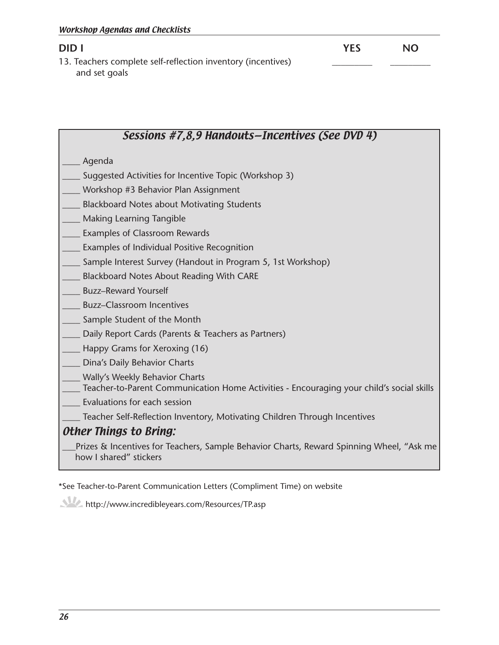**DID I YES NO** 13. Teachers complete self-reflection inventory (incentives) and set goals

# Sessions #7,8,9 Handouts—Incentives (See DVD 4) \_\_\_\_ Agenda Suggested Activities for Incentive Topic (Workshop 3) Workshop #3 Behavior Plan Assignment Blackboard Notes about Motivating Students Making Learning Tangible Examples of Classroom Rewards Examples of Individual Positive Recognition Sample Interest Survey (Handout in Program 5, 1st Workshop) Blackboard Notes About Reading With CARE Buzz–Reward Yourself \_\_\_\_ Buzz–Classroom Incentives Sample Student of the Month Daily Report Cards (Parents & Teachers as Partners) Happy Grams for Xeroxing (16) Dina's Daily Behavior Charts Wally's Weekly Behavior Charts Teacher-to-Parent Communication Home Activities - Encouraging your child's social skills Evaluations for each session \_\_\_\_ Teacher Self-Reflection Inventory, Motivating Children Through Incentives Other Things to Bring: Prizes & Incentives for Teachers, Sample Behavior Charts, Reward Spinning Wheel, "Ask me how I shared" stickers

\*See Teacher-to-Parent Communication Letters (Compliment Time) on website

http://www.incredibleyears.com/Resources/TP.asp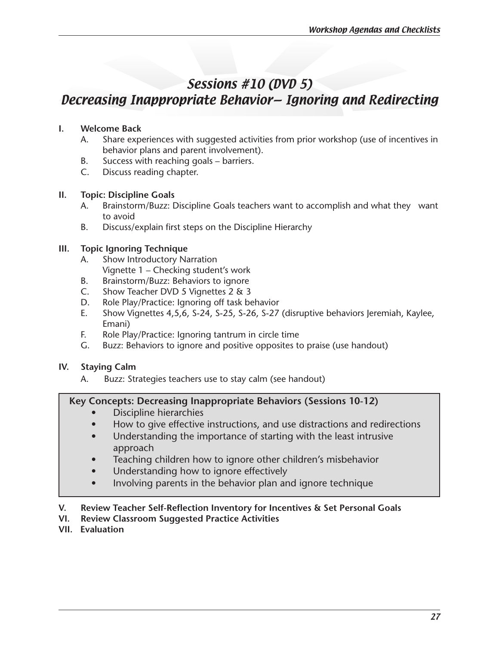# Sessions #10 (DVD 5)

# Decreasing Inappropriate Behavior— Ignoring and Redirecting

# **I. Welcome Back**

- A. Share experiences with suggested activities from prior workshop (use of incentives in behavior plans and parent involvement).
- B. Success with reaching goals barriers.
- C. Discuss reading chapter.

# **II. Topic: Discipline Goals**

- A. Brainstorm/Buzz: Discipline Goals teachers want to accomplish and what they want to avoid
- B. Discuss/explain first steps on the Discipline Hierarchy

# **III. Topic Ignoring Technique**

- A. Show Introductory Narration Vignette 1 – Checking student's work
- B. Brainstorm/Buzz: Behaviors to ignore
- C. Show Teacher DVD 5 Vignettes 2 & 3
- D. Role Play/Practice: Ignoring off task behavior
- E. Show Vignettes 4,5,6, S-24, S-25, S-26, S-27 (disruptive behaviors Jeremiah, Kaylee, Emani)
- F. Role Play/Practice: Ignoring tantrum in circle time
- G. Buzz: Behaviors to ignore and positive opposites to praise (use handout)

# **IV. Staying Calm**

A. Buzz: Strategies teachers use to stay calm (see handout)

# **Key Concepts: Decreasing Inappropriate Behaviors (Sessions 10-12)**

- **Discipline hierarchies**
- How to give effective instructions, and use distractions and redirections
- Understanding the importance of starting with the least intrusive approach
- Teaching children how to ignore other children's misbehavior
- Understanding how to ignore effectively
- Involving parents in the behavior plan and ignore technique

# **V. Review Teacher Self-Reflection Inventory for Incentives & Set Personal Goals**

- **VI. Review Classroom Suggested Practice Activities**
- **VII. Evaluation**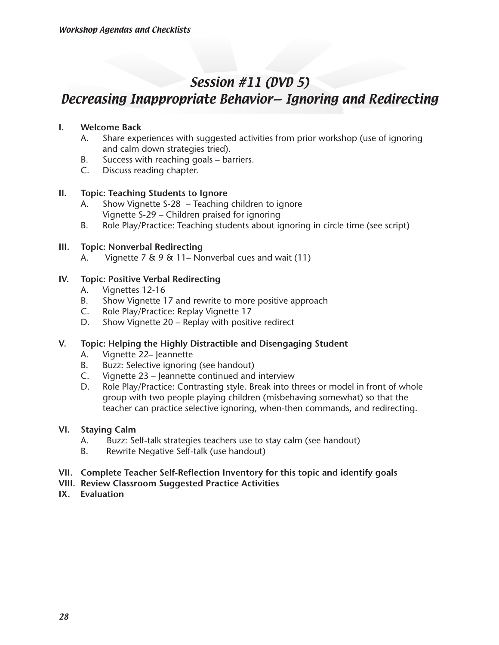# Session #11 (DVD 5)

# Decreasing Inappropriate Behavior— Ignoring and Redirecting

#### **I. Welcome Back**

- A. Share experiences with suggested activities from prior workshop (use of ignoring and calm down strategies tried).
- B. Success with reaching goals barriers.
- C. Discuss reading chapter.

### **II. Topic: Teaching Students to Ignore**

- A. Show Vignette S-28 Teaching children to ignore Vignette S-29 – Children praised for ignoring
- B. Role Play/Practice: Teaching students about ignoring in circle time (see script)

#### **III. Topic: Nonverbal Redirecting**

A. Vignette 7  $\&$  9  $\&$  11– Nonverbal cues and wait (11)

### **IV. Topic: Positive Verbal Redirecting**

- A. Vignettes 12-16
- B. Show Vignette 17 and rewrite to more positive approach
- C. Role Play/Practice: Replay Vignette 17
- D. Show Vignette 20 Replay with positive redirect

#### **V. Topic: Helping the Highly Distractible and Disengaging Student**

- A. Vignette 22– Jeannette
- B. Buzz: Selective ignoring (see handout)
- C. Vignette 23 Jeannette continued and interview
- D. Role Play/Practice: Contrasting style. Break into threes or model in front of whole group with two people playing children (misbehaving somewhat) so that the teacher can practice selective ignoring, when-then commands, and redirecting.

#### **VI. Staying Calm**

- A. Buzz: Self-talk strategies teachers use to stay calm (see handout)
- B. Rewrite Negative Self-talk (use handout)
- **VII. Complete Teacher Self-Reflection Inventory for this topic and identify goals**
- **VIII. Review Classroom Suggested Practice Activities**
- **IX. Evaluation**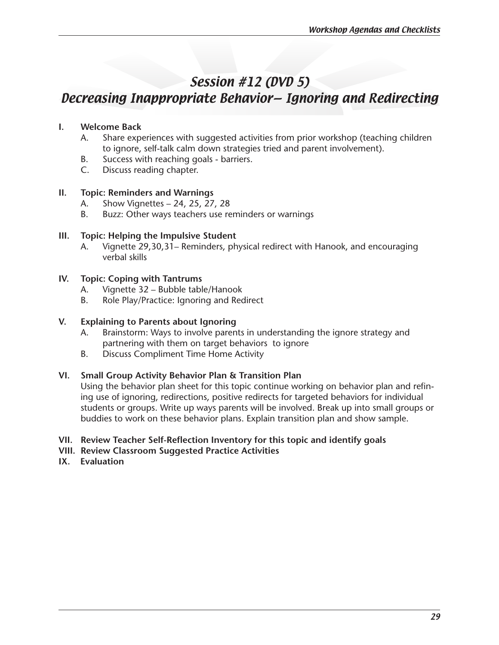# Session #12 (DVD 5)

# Decreasing Inappropriate Behavior— Ignoring and Redirecting

### **I. Welcome Back**

- A. Share experiences with suggested activities from prior workshop (teaching children to ignore, self-talk calm down strategies tried and parent involvement).
- B. Success with reaching goals barriers.
- C. Discuss reading chapter.

#### **II. Topic: Reminders and Warnings**

- A. Show Vignettes 24, 25, 27, 28
- B. Buzz: Other ways teachers use reminders or warnings

#### **III. Topic: Helping the Impulsive Student**

A. Vignette 29,30,31– Reminders, physical redirect with Hanook, and encouraging verbal skills

#### **IV. Topic: Coping with Tantrums**

- A. Vignette 32 Bubble table/Hanook
- B. Role Play/Practice: Ignoring and Redirect

#### **V. Explaining to Parents about Ignoring**

- A. Brainstorm: Ways to involve parents in understanding the ignore strategy and partnering with them on target behaviors to ignore
- B. Discuss Compliment Time Home Activity

#### **VI. Small Group Activity Behavior Plan & Transition Plan**

Using the behavior plan sheet for this topic continue working on behavior plan and refining use of ignoring, redirections, positive redirects for targeted behaviors for individual students or groups. Write up ways parents will be involved. Break up into small groups or buddies to work on these behavior plans. Explain transition plan and show sample.

#### **VII. Review Teacher Self-Reflection Inventory for this topic and identify goals**

- **VIII. Review Classroom Suggested Practice Activities**
- **IX. Evaluation**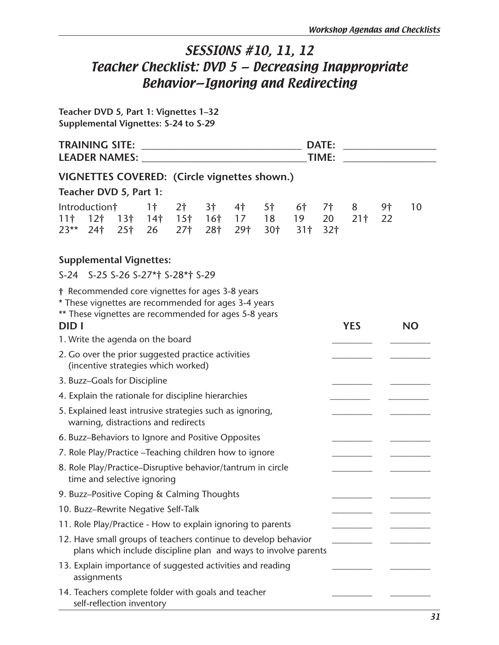# SESSIONS #10, 11, 12 Teacher Checklist: DVD 5 — Decreasing Inappropriate Behavior—Ignoring and Redirecting

**Teacher DVD 5, Part 1: Vignettes 1–32 Supplemental Vignettes: S-24 to S-29**

| <b>DATE:</b><br>TIME:<br>LEADER NAMES: NAMES: |                                                                                                                                                                  |  |                      |                                   |           |           |           |                                                                                   |                                    |                      |          |           |
|-----------------------------------------------|------------------------------------------------------------------------------------------------------------------------------------------------------------------|--|----------------------|-----------------------------------|-----------|-----------|-----------|-----------------------------------------------------------------------------------|------------------------------------|----------------------|----------|-----------|
|                                               | VIGNETTES COVERED: (Circle vignettes shown.)                                                                                                                     |  |                      |                                   |           |           |           |                                                                                   |                                    |                      |          |           |
| Teacher DVD 5, Part 1:                        |                                                                                                                                                                  |  |                      |                                   |           |           |           |                                                                                   |                                    |                      |          |           |
| $23**$                                        | Introduction†<br>$24†$ 25†                                                                                                                                       |  | 1 <sup>†</sup><br>26 | 2 <sup>†</sup><br>27 <sup>†</sup> | 3†<br>28† | 4†<br>29† | 5†<br>30† | 6†<br>$11$ † $12$ † $13$ † $14$ † $15$ † $16$ † $17$ $18$ $19$<br>31 <sub>†</sub> | <b>7†</b><br>20<br>32 <sub>†</sub> | 8<br>21 <sup>†</sup> | 9†<br>22 | 10        |
|                                               | <b>Supplemental Vignettes:</b><br>S-24 S-25 S-26 S-27*† S-28*† S-29                                                                                              |  |                      |                                   |           |           |           |                                                                                   |                                    |                      |          |           |
|                                               | † Recommended core vignettes for ages 3-8 years<br>* These vignettes are recommended for ages 3-4 years<br>** These vignettes are recommended for ages 5-8 years |  |                      |                                   |           |           |           |                                                                                   |                                    |                      |          |           |
| <b>DID</b> I                                  |                                                                                                                                                                  |  |                      |                                   |           |           |           |                                                                                   |                                    | <b>YES</b>           |          | <b>NO</b> |
|                                               | 1. Write the agenda on the board<br>2. Go over the prior suggested practice activities<br>(incentive strategies which worked)                                    |  |                      |                                   |           |           |           |                                                                                   |                                    |                      |          |           |
|                                               | 3. Buzz-Goals for Discipline                                                                                                                                     |  |                      |                                   |           |           |           |                                                                                   |                                    |                      |          |           |
|                                               | 4. Explain the rationale for discipline hierarchies                                                                                                              |  |                      |                                   |           |           |           |                                                                                   |                                    |                      |          |           |
|                                               | 5. Explained least intrusive strategies such as ignoring,<br>warning, distractions and redirects                                                                 |  |                      |                                   |           |           |           |                                                                                   |                                    |                      |          |           |
|                                               | 6. Buzz-Behaviors to Ignore and Positive Opposites                                                                                                               |  |                      |                                   |           |           |           |                                                                                   |                                    |                      |          |           |
|                                               | 7. Role Play/Practice - Teaching children how to ignore                                                                                                          |  |                      |                                   |           |           |           |                                                                                   |                                    |                      |          |           |
|                                               | 8. Role Play/Practice-Disruptive behavior/tantrum in circle<br>time and selective ignoring                                                                       |  |                      |                                   |           |           |           |                                                                                   |                                    |                      |          |           |
|                                               | 9. Buzz-Positive Coping & Calming Thoughts                                                                                                                       |  |                      |                                   |           |           |           |                                                                                   |                                    |                      |          |           |
|                                               | 10. Buzz-Rewrite Negative Self-Talk                                                                                                                              |  |                      |                                   |           |           |           |                                                                                   |                                    |                      |          |           |
|                                               | 11. Role Play/Practice - How to explain ignoring to parents                                                                                                      |  |                      |                                   |           |           |           |                                                                                   |                                    |                      |          |           |
|                                               | 12. Have small groups of teachers continue to develop behavior                                                                                                   |  |                      |                                   |           |           |           | plans which include discipline plan and ways to involve parents                   |                                    |                      |          |           |
|                                               | 13. Explain importance of suggested activities and reading<br>assignments                                                                                        |  |                      |                                   |           |           |           |                                                                                   |                                    |                      |          |           |
|                                               | 14. Teachers complete folder with goals and teacher<br>self-reflection inventory                                                                                 |  |                      |                                   |           |           |           |                                                                                   |                                    |                      |          |           |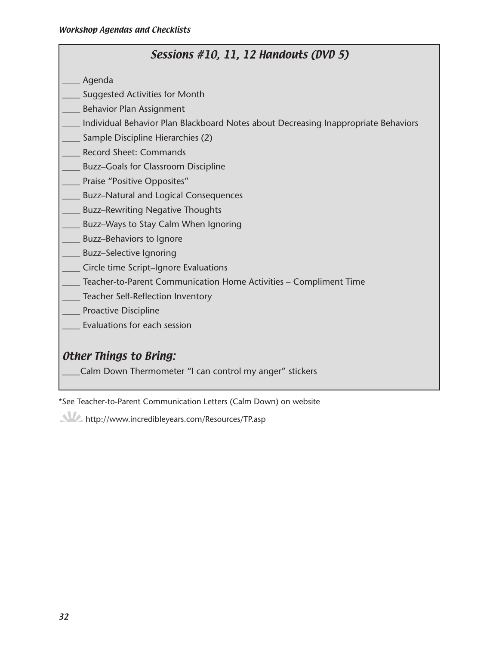# Sessions #10, 11, 12 Handouts (DVD 5)

- \_\_\_\_ Agenda
- Suggested Activities for Month
- \_\_\_\_ Behavior Plan Assignment
- Individual Behavior Plan Blackboard Notes about Decreasing Inappropriate Behaviors
- Sample Discipline Hierarchies (2)
- Record Sheet: Commands
- Buzz–Goals for Classroom Discipline
- Praise "Positive Opposites"
- \_\_\_\_ Buzz–Natural and Logical Consequences
- Buzz–Rewriting Negative Thoughts
- Buzz–Ways to Stay Calm When Ignoring
- Buzz–Behaviors to Ignore
- Buzz–Selective Ignoring
- \_\_\_\_ Circle time Script–Ignore Evaluations
- \_\_\_\_ Teacher-to-Parent Communication Home Activities Compliment Time
- \_\_\_\_ Teacher Self-Reflection Inventory
- Proactive Discipline
- Evaluations for each session

# Other Things to Bring:

Calm Down Thermometer "I can control my anger" stickers

\*See Teacher-to-Parent Communication Letters (Calm Down) on website

http://www.incredibleyears.com/Resources/TP.asp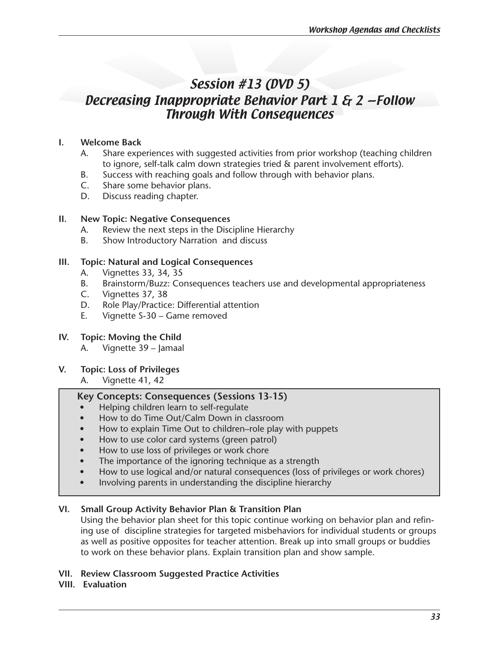# Session #13 (DVD 5) Decreasing Inappropriate Behavior Part 1 & 2 —Follow Through With Consequences

### **I. Welcome Back**

- A. Share experiences with suggested activities from prior workshop (teaching children to ignore, self-talk calm down strategies tried & parent involvement efforts).
- B. Success with reaching goals and follow through with behavior plans.
- C. Share some behavior plans.
- D. Discuss reading chapter.

#### **II. New Topic: Negative Consequences**

- A. Review the next steps in the Discipline Hierarchy
- B. Show Introductory Narration and discuss

#### **III. Topic: Natural and Logical Consequences**

- A. Vignettes 33, 34, 35
- B. Brainstorm/Buzz: Consequences teachers use and developmental appropriateness
- C. Vignettes 37, 38
- D. Role Play/Practice: Differential attention
- E. Vignette S-30 Game removed

#### **IV. Topic: Moving the Child**

A. Vignette 39 – Jamaal

#### **V. Topic: Loss of Privileges**

A. Vignette 41, 42

#### **Key Concepts: Consequences (Sessions 13-15)**

- Helping children learn to self-regulate
- How to do Time Out/Calm Down in classroom
- How to explain Time Out to children–role play with puppets
- How to use color card systems (green patrol)
- How to use loss of privileges or work chore
- The importance of the ignoring technique as a strength
- How to use logical and/or natural consequences (loss of privileges or work chores)
- Involving parents in understanding the discipline hierarchy

#### **VI. Small Group Activity Behavior Plan & Transition Plan**

Using the behavior plan sheet for this topic continue working on behavior plan and refining use of discipline strategies for targeted misbehaviors for individual students or groups as well as positive opposites for teacher attention. Break up into small groups or buddies to work on these behavior plans. Explain transition plan and show sample.

#### **VII. Review Classroom Suggested Practice Activities**

#### **VIII. Evaluation**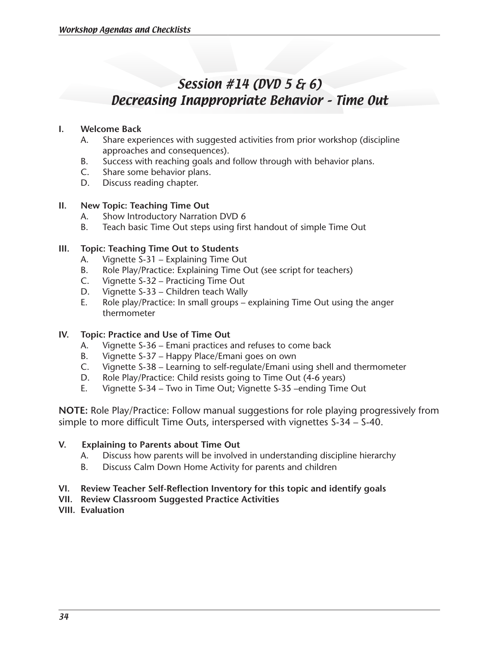# Session #14 (DVD 5 & 6) Decreasing Inappropriate Behavior – Time Out

#### **I. Welcome Back**

- A. Share experiences with suggested activities from prior workshop (discipline approaches and consequences).
- B. Success with reaching goals and follow through with behavior plans.<br>C. Share some behavior plans.
- Share some behavior plans.
- D. Discuss reading chapter.

### **II. New Topic: Teaching Time Out**

- A. Show Introductory Narration DVD 6
- B. Teach basic Time Out steps using first handout of simple Time Out

### **III. Topic: Teaching Time Out to Students**

- A. Vignette S-31 Explaining Time Out
- B. Role Play/Practice: Explaining Time Out (see script for teachers)
- C. Vignette S-32 Practicing Time Out
- D. Vignette S-33 Children teach Wally
- E. Role play/Practice: In small groups explaining Time Out using the anger thermometer

### **IV. Topic: Practice and Use of Time Out**

- A. Vignette S-36 Emani practices and refuses to come back
- B. Vignette S-37 Happy Place/Emani goes on own
- C. Vignette S-38 Learning to self-regulate/Emani using shell and thermometer
- D. Role Play/Practice: Child resists going to Time Out (4-6 years)
- E. Vignette S-34 Two in Time Out; Vignette S-35 –ending Time Out

**NOTE:** Role Play/Practice: Follow manual suggestions for role playing progressively from simple to more difficult Time Outs, interspersed with vignettes S-34 – S-40.

#### **V. Explaining to Parents about Time Out**

- A. Discuss how parents will be involved in understanding discipline hierarchy
- B. Discuss Calm Down Home Activity for parents and children

### **VI. Review Teacher Self-Reflection Inventory for this topic and identify goals**

- **VII. Review Classroom Suggested Practice Activities**
- **VIII. Evaluation**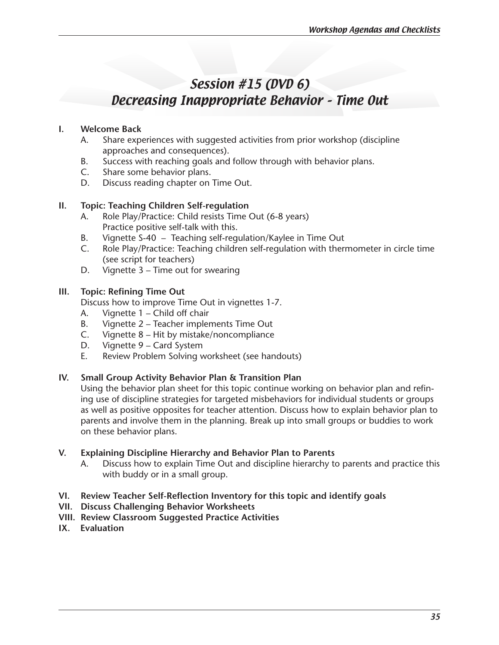# Session #15 (DVD 6) Decreasing Inappropriate Behavior – Time Out

### **I. Welcome Back**

- A. Share experiences with suggested activities from prior workshop (discipline approaches and consequences).
- B. Success with reaching goals and follow through with behavior plans.<br>C. Share some behavior plans.
- Share some behavior plans.
- D. Discuss reading chapter on Time Out.

### **II. Topic: Teaching Children Self-regulation**

- A. Role Play/Practice: Child resists Time Out (6-8 years) Practice positive self-talk with this.
- B. Vignette S-40 Teaching self-regulation/Kaylee in Time Out
- C. Role Play/Practice: Teaching children self-regulation with thermometer in circle time (see script for teachers)
- D. Vignette 3 Time out for swearing

### **III. Topic: Refining Time Out**

Discuss how to improve Time Out in vignettes 1-7.

- A. Vignette 1 Child off chair
- B. Vignette 2 Teacher implements Time Out
- C. Vignette 8 Hit by mistake/noncompliance
- D. Vignette 9 Card System
- E. Review Problem Solving worksheet (see handouts)

#### **IV. Small Group Activity Behavior Plan & Transition Plan**

Using the behavior plan sheet for this topic continue working on behavior plan and refining use of discipline strategies for targeted misbehaviors for individual students or groups as well as positive opposites for teacher attention. Discuss how to explain behavior plan to parents and involve them in the planning. Break up into small groups or buddies to work on these behavior plans.

#### **V. Explaining Discipline Hierarchy and Behavior Plan to Parents**

- A. Discuss how to explain Time Out and discipline hierarchy to parents and practice this with buddy or in a small group.
- **VI. Review Teacher Self-Reflection Inventory for this topic and identify goals**
- **VII. Discuss Challenging Behavior Worksheets**
- **VIII. Review Classroom Suggested Practice Activities**
- **IX. Evaluation**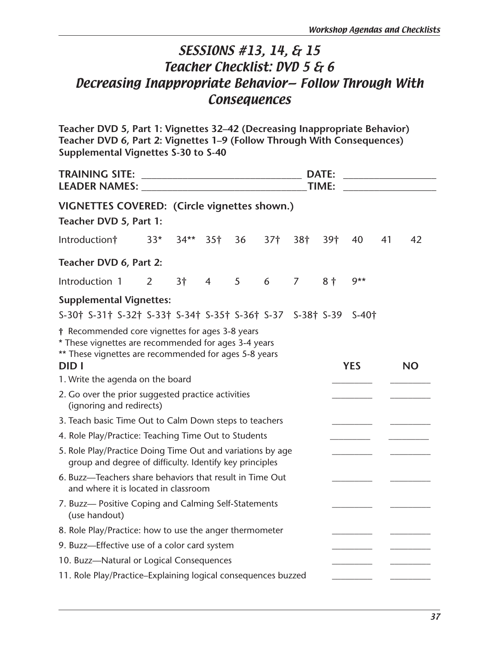# SESSIONS #13, 14, & 15 Teacher Checklist: DVD 5 & 6 Decreasing Inappropriate Behavior— Follow Through With **Consequences**

**Teacher DVD 5, Part 1: Vignettes 32–42 (Decreasing Inappropriate Behavior) Teacher DVD 6, Part 2: Vignettes 1–9 (Follow Through With Consequences) Supplemental Vignettes S-30 to S-40**

| <b>TRAINING SITE:</b><br><b>LEADER NAMES:</b>                                                                                                                                                                       |       |        | <b>DATE:</b><br><b>TIME:</b> |    |                 |     |     |            |    |           |  |
|---------------------------------------------------------------------------------------------------------------------------------------------------------------------------------------------------------------------|-------|--------|------------------------------|----|-----------------|-----|-----|------------|----|-----------|--|
| VIGNETTES COVERED: (Circle vignettes shown.)<br>Teacher DVD 5, Part 1:                                                                                                                                              |       |        |                              |    |                 |     |     |            |    |           |  |
| Introduction†                                                                                                                                                                                                       | $33*$ | $34**$ | 35 <sup>†</sup>              | 36 | 37 <sup>†</sup> | 38† | 39† | 40         | 41 | 42        |  |
| Teacher DVD 6, Part 2:                                                                                                                                                                                              |       |        |                              |    |                 |     |     |            |    |           |  |
| Introduction 1                                                                                                                                                                                                      | 2     | 3†     | 4                            | 5  | 6               | 7   | 8†  | $9**$      |    |           |  |
| <b>Supplemental Vignettes:</b>                                                                                                                                                                                      |       |        |                              |    |                 |     |     |            |    |           |  |
| S-30† S-31† S-32† S-33† S-34† S-35† S-36† S-37 S-38† S-39                                                                                                                                                           |       |        |                              |    |                 |     |     | $S-40+$    |    |           |  |
| † Recommended core vignettes for ages 3-8 years<br>* These vignettes are recommended for ages 3-4 years<br>** These vignettes are recommended for ages 5-8 years<br><b>DIDI</b><br>1. Write the agenda on the board |       |        |                              |    |                 |     |     | <b>YES</b> |    | <b>NO</b> |  |
| 2. Go over the prior suggested practice activities<br>(ignoring and redirects)                                                                                                                                      |       |        |                              |    |                 |     |     |            |    |           |  |
| 3. Teach basic Time Out to Calm Down steps to teachers                                                                                                                                                              |       |        |                              |    |                 |     |     |            |    |           |  |
| 4. Role Play/Practice: Teaching Time Out to Students                                                                                                                                                                |       |        |                              |    |                 |     |     |            |    |           |  |
| 5. Role Play/Practice Doing Time Out and variations by age<br>group and degree of difficulty. Identify key principles                                                                                               |       |        |                              |    |                 |     |     |            |    |           |  |
| 6. Buzz-Teachers share behaviors that result in Time Out<br>and where it is located in classroom                                                                                                                    |       |        |                              |    |                 |     |     |            |    |           |  |
| 7. Buzz- Positive Coping and Calming Self-Statements<br>(use handout)                                                                                                                                               |       |        |                              |    |                 |     |     |            |    |           |  |
| 8. Role Play/Practice: how to use the anger thermometer                                                                                                                                                             |       |        |                              |    |                 |     |     |            |    |           |  |
| 9. Buzz-Effective use of a color card system                                                                                                                                                                        |       |        |                              |    |                 |     |     |            |    |           |  |
| 10. Buzz-Natural or Logical Consequences                                                                                                                                                                            |       |        |                              |    |                 |     |     |            |    |           |  |
| 11. Role Play/Practice-Explaining logical consequences buzzed                                                                                                                                                       |       |        |                              |    |                 |     |     |            |    |           |  |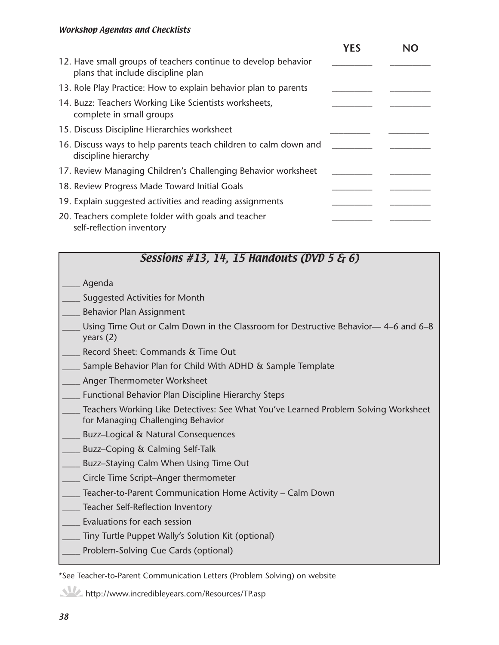|                                                                                                      | <b>YES</b> | NΩ |
|------------------------------------------------------------------------------------------------------|------------|----|
| 12. Have small groups of teachers continue to develop behavior<br>plans that include discipline plan |            |    |
| 13. Role Play Practice: How to explain behavior plan to parents                                      |            |    |
| 14. Buzz: Teachers Working Like Scientists worksheets,<br>complete in small groups                   |            |    |
| 15. Discuss Discipline Hierarchies worksheet                                                         |            |    |
| 16. Discuss ways to help parents teach children to calm down and<br>discipline hierarchy             |            |    |
| 17. Review Managing Children's Challenging Behavior worksheet                                        |            |    |
| 18. Review Progress Made Toward Initial Goals                                                        |            |    |
| 19. Explain suggested activities and reading assignments                                             |            |    |
| 20. Teachers complete folder with goals and teacher<br>self-reflection inventory                     |            |    |

# Sessions #13, 14, 15 Handouts (DVD 5 & 6)

- \_\_\_\_ Agenda
- Suggested Activities for Month
- \_\_\_\_ Behavior Plan Assignment
- Using Time Out or Calm Down in the Classroom for Destructive Behavior— 4–6 and 6–8 years (2)
- Record Sheet: Commands & Time Out
- Sample Behavior Plan for Child With ADHD & Sample Template
- Anger Thermometer Worksheet
- Functional Behavior Plan Discipline Hierarchy Steps
- Teachers Working Like Detectives: See What You've Learned Problem Solving Worksheet for Managing Challenging Behavior
- \_\_\_\_ Buzz–Logical & Natural Consequences
- \_\_\_\_ Buzz–Coping & Calming Self-Talk
- Buzz–Staying Calm When Using Time Out
- \_\_\_\_ Circle Time Script–Anger thermometer
- Teacher-to-Parent Communication Home Activity Calm Down
- Teacher Self-Reflection Inventory
- Evaluations for each session
- Tiny Turtle Puppet Wally's Solution Kit (optional)
- Problem-Solving Cue Cards (optional)

\*See Teacher-to-Parent Communication Letters (Problem Solving) on website

http://www.incredibleyears.com/Resources/TP.asp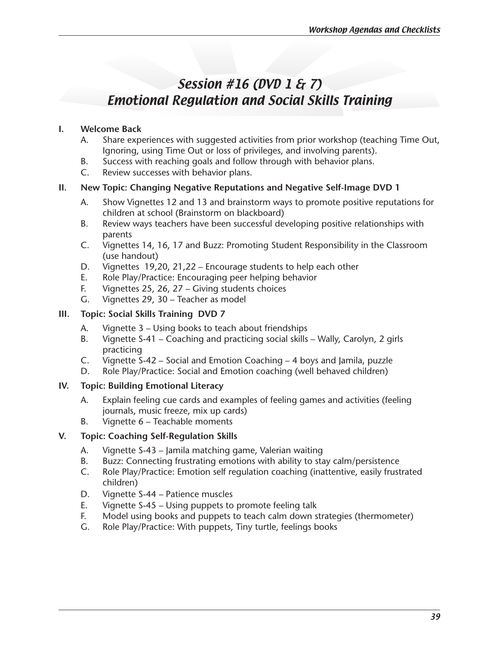# Session #16 (DVD 1 & 7) Emotional Regulation and Social Skills Training

# **I. Welcome Back**

- A. Share experiences with suggested activities from prior workshop (teaching Time Out, Ignoring, using Time Out or loss of privileges, and involving parents).
- B. Success with reaching goals and follow through with behavior plans.
- C. Review successes with behavior plans.

# **II. New Topic: Changing Negative Reputations and Negative Self-Image DVD 1**

- A. Show Vignettes 12 and 13 and brainstorm ways to promote positive reputations for children at school (Brainstorm on blackboard)
- B. Review ways teachers have been successful developing positive relationships with parents
- C. Vignettes 14, 16, 17 and Buzz: Promoting Student Responsibility in the Classroom (use handout)
- D. Vignettes 19,20, 21,22 Encourage students to help each other
- E. Role Play/Practice: Encouraging peer helping behavior
- F. Vignettes 25, 26, 27 Giving students choices
- G. Vignettes 29, 30 Teacher as model

# **III. Topic: Social Skills Training DVD 7**

- A. Vignette 3 Using books to teach about friendships
- B. Vignette S-41 Coaching and practicing social skills Wally, Carolyn, 2 girls practicing
- C. Vignette S-42 Social and Emotion Coaching  $-4$  boys and Jamila, puzzle
- D. Role Play/Practice: Social and Emotion coaching (well behaved children)

# **IV. Topic: Building Emotional Literacy**

- A. Explain feeling cue cards and examples of feeling games and activities (feeling journals, music freeze, mix up cards)
- B. Vignette 6 Teachable moments

# **V. Topic: Coaching Self-Regulation Skills**

- A. Vignette S-43 Jamila matching game, Valerian waiting
- B. Buzz: Connecting frustrating emotions with ability to stay calm/persistence
- C. Role Play/Practice: Emotion self regulation coaching (inattentive, easily frustrated children)
- D. Vignette S-44 Patience muscles
- E. Vignette S-45 Using puppets to promote feeling talk
- F. Model using books and puppets to teach calm down strategies (thermometer)
- G. Role Play/Practice: With puppets, Tiny turtle, feelings books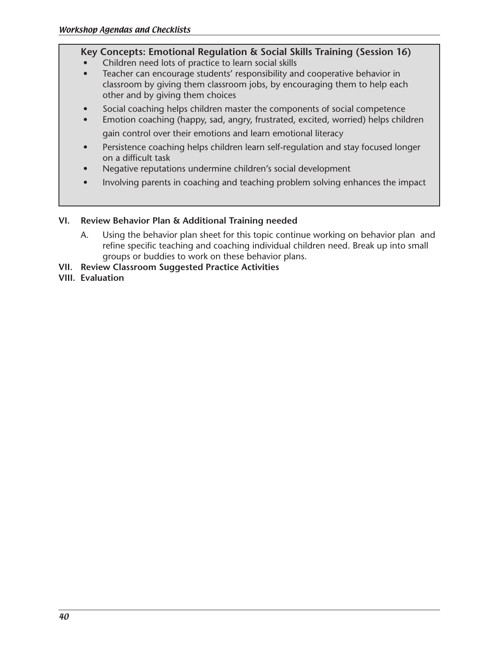# **Key Concepts: Emotional Regulation & Social Skills Training (Session 16)**

- Children need lots of practice to learn social skills
- Teacher can encourage students' responsibility and cooperative behavior in classroom by giving them classroom jobs, by encouraging them to help each other and by giving them choices
- Social coaching helps children master the components of social competence
- Emotion coaching (happy, sad, angry, frustrated, excited, worried) helps children gain control over their emotions and learn emotional literacy
- Persistence coaching helps children learn self-regulation and stay focused longer on a difficult task
- Negative reputations undermine children's social development
- Involving parents in coaching and teaching problem solving enhances the impact

# **VI. Review Behavior Plan & Additional Training needed**

- A. Using the behavior plan sheet for this topic continue working on behavior plan and refine specific teaching and coaching individual children need. Break up into small groups or buddies to work on these behavior plans.
- **VII. Review Classroom Suggested Practice Activities**
- **VIII. Evaluation**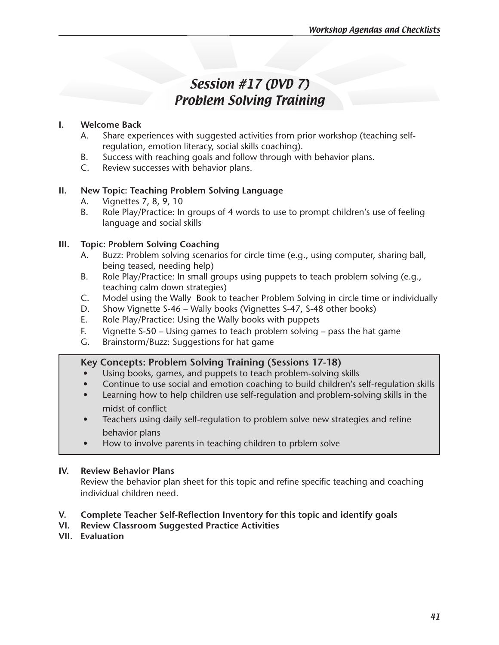# Session #17 (DVD 7) Problem Solving Training

### **I. Welcome Back**

- A. Share experiences with suggested activities from prior workshop (teaching selfregulation, emotion literacy, social skills coaching).
- B. Success with reaching goals and follow through with behavior plans.
- C. Review successes with behavior plans.

# **II. New Topic: Teaching Problem Solving Language**

- A. Vignettes 7, 8, 9, 10
- B. Role Play/Practice: In groups of 4 words to use to prompt children's use of feeling language and social skills

# **III. Topic: Problem Solving Coaching**

- A. Buzz: Problem solving scenarios for circle time (e.g., using computer, sharing ball, being teased, needing help)
- B. Role Play/Practice: In small groups using puppets to teach problem solving (e.g., teaching calm down strategies)
- C. Model using the Wally Book to teacher Problem Solving in circle time or individually
- D. Show Vignette S-46 Wally books (Vignettes S-47, S-48 other books)
- E. Role Play/Practice: Using the Wally books with puppets
- F. Vignette S-50 Using games to teach problem solving pass the hat game
- G. Brainstorm/Buzz: Suggestions for hat game

# **Key Concepts: Problem Solving Training (Sessions 17-18)**

- Using books, games, and puppets to teach problem-solving skills
- Continue to use social and emotion coaching to build children's self-regulation skills
- Learning how to help children use self-regulation and problem-solving skills in the midst of conflict
- Teachers using daily self-regulation to problem solve new strategies and refine behavior plans
- How to involve parents in teaching children to prblem solve

### **IV. Review Behavior Plans**

Review the behavior plan sheet for this topic and refine specific teaching and coaching individual children need.

# **V. Complete Teacher Self-Reflection Inventory for this topic and identify goals**

- **VI. Review Classroom Suggested Practice Activities**
- **VII. Evaluation**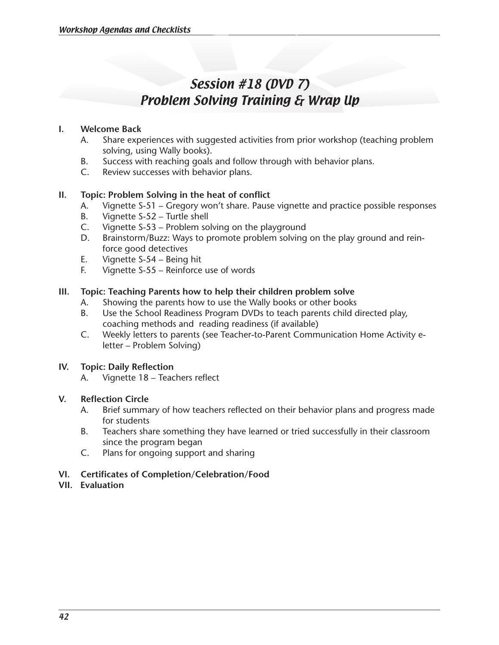# Session #18 (DVD 7) Problem Solving Training & Wrap Up

#### **I. Welcome Back**

- A. Share experiences with suggested activities from prior workshop (teaching problem solving, using Wally books).
- B. Success with reaching goals and follow through with behavior plans.
- C. Review successes with behavior plans.

### **II. Topic: Problem Solving in the heat of conflict**

- A. Vignette S-51 Gregory won't share. Pause vignette and practice possible responses
- B. Vignette S-52 Turtle shell
- C. Vignette  $S-53$  Problem solving on the playground
- D. Brainstorm/Buzz: Ways to promote problem solving on the play ground and reinforce good detectives
- E. Vignette S-54 Being hit
- F. Vignette S-55 Reinforce use of words

### **III. Topic: Teaching Parents how to help their children problem solve**

- A. Showing the parents how to use the Wally books or other books
- B. Use the School Readiness Program DVDs to teach parents child directed play, coaching methods and reading readiness (if available)
- C. Weekly letters to parents (see Teacher-to-Parent Communication Home Activity eletter – Problem Solving)

### **IV. Topic: Daily Reflection**

A. Vignette 18 – Teachers reflect

#### **V. Reflection Circle**

- A. Brief summary of how teachers reflected on their behavior plans and progress made for students
- B. Teachers share something they have learned or tried successfully in their classroom since the program began
- C. Plans for ongoing support and sharing

#### **VI. Certificates of Completion/Celebration/Food**

### **VII. Evaluation**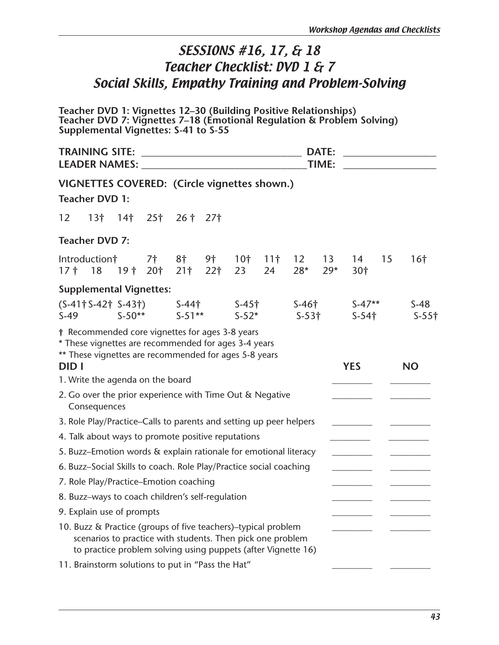# SESSIONS #16, 17, & 18 Teacher Checklist: DVD 1 & 7 Social Skills, Empathy Training and Problem-Solving

**Teacher DVD 1: Vignettes 12–30 (Building Positive Relationships) Teacher DVD 7: Vignettes 7–18 (Emotional Regulation & Problem Solving) Supplemental Vignettes: S-41 to S-55**

| <b>DATE:</b><br>TIME: |                                                                                                                                                                                                      |  |                   |                             |                       |                       |                       |                          |                          |                      |    | the control of the control of the control of the |
|-----------------------|------------------------------------------------------------------------------------------------------------------------------------------------------------------------------------------------------|--|-------------------|-----------------------------|-----------------------|-----------------------|-----------------------|--------------------------|--------------------------|----------------------|----|--------------------------------------------------|
|                       | VIGNETTES COVERED: (Circle vignettes shown.)                                                                                                                                                         |  |                   |                             |                       |                       |                       |                          |                          |                      |    |                                                  |
|                       | <b>Teacher DVD 1:</b>                                                                                                                                                                                |  |                   |                             |                       |                       |                       |                          |                          |                      |    |                                                  |
| 12                    |                                                                                                                                                                                                      |  |                   | $13$ † $14$ † $25$ † $26$ † | 27 <sup>†</sup>       |                       |                       |                          |                          |                      |    |                                                  |
|                       | <b>Teacher DVD 7:</b>                                                                                                                                                                                |  |                   |                             |                       |                       |                       |                          |                          |                      |    |                                                  |
| $17†$ 18              | Introduction†                                                                                                                                                                                        |  | 7†<br>19† 20† 21† | 8†                          | 9†<br>22 <sup>†</sup> | 10 <sup>†</sup><br>23 | 11 <sup>†</sup><br>24 | 12 <sup>7</sup><br>$28*$ | 13 <sup>2</sup><br>$29*$ | 14<br>30†            | 15 | 16 <sup>†</sup>                                  |
|                       | <b>Supplemental Vignettes:</b>                                                                                                                                                                       |  |                   |                             |                       |                       |                       |                          |                          |                      |    |                                                  |
| $S-49$                | $(S-41 \dagger S-42 \dagger S-43 \dagger)$ S-44 $\dagger$                                                                                                                                            |  |                   | $S-50**$ $S-51**$           |                       | $S-45$ †<br>$S-52*$   |                       | $S-46$ †<br>$S-53$ †     |                          | $S-47**$<br>$S-54$ † |    | $S-48$<br>$S-55$ †                               |
| <b>DIDI</b>           | † Recommended core vignettes for ages 3-8 years<br>* These vignettes are recommended for ages 3-4 years<br>** These vignettes are recommended for ages 5-8 years<br>1. Write the agenda on the board |  |                   |                             |                       |                       |                       |                          |                          | <b>YES</b>           |    | <b>NO</b>                                        |
|                       | 2. Go over the prior experience with Time Out & Negative                                                                                                                                             |  |                   |                             |                       |                       |                       |                          |                          |                      |    |                                                  |
|                       | Consequences                                                                                                                                                                                         |  |                   |                             |                       |                       |                       |                          |                          |                      |    |                                                  |
|                       | 3. Role Play/Practice–Calls to parents and setting up peer helpers                                                                                                                                   |  |                   |                             |                       |                       |                       |                          |                          |                      |    |                                                  |
|                       | 4. Talk about ways to promote positive reputations                                                                                                                                                   |  |                   |                             |                       |                       |                       |                          |                          |                      |    |                                                  |
|                       | 5. Buzz-Emotion words & explain rationale for emotional literacy                                                                                                                                     |  |                   |                             |                       |                       |                       |                          |                          |                      |    |                                                  |
|                       | 6. Buzz-Social Skills to coach. Role Play/Practice social coaching                                                                                                                                   |  |                   |                             |                       |                       |                       |                          |                          |                      |    |                                                  |
|                       | 7. Role Play/Practice-Emotion coaching                                                                                                                                                               |  |                   |                             |                       |                       |                       |                          |                          |                      |    |                                                  |
|                       | 8. Buzz-ways to coach children's self-regulation                                                                                                                                                     |  |                   |                             |                       |                       |                       |                          |                          |                      |    |                                                  |
|                       | 9. Explain use of prompts                                                                                                                                                                            |  |                   |                             |                       |                       |                       |                          |                          |                      |    |                                                  |
|                       | 10. Buzz & Practice (groups of five teachers)-typical problem<br>scenarios to practice with students. Then pick one problem<br>to practice problem solving using puppets (after Vignette 16)         |  |                   |                             |                       |                       |                       |                          |                          |                      |    |                                                  |
|                       | 11. Brainstorm solutions to put in "Pass the Hat"                                                                                                                                                    |  |                   |                             |                       |                       |                       |                          |                          |                      |    |                                                  |